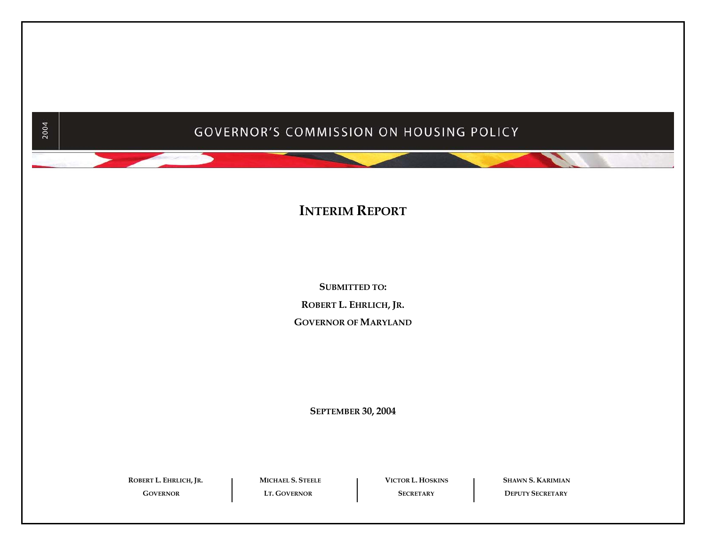# GOVERNOR'S COMMISSION ON HOUSING POLICY

## **INTERIM REPORT**

**SUBMITTED TO: ROBERT L. EHRLICH, JR. GOVERNOR OF MARYLAND**

**SEPTEMBER 30, 2004** 

 **ROBERT L.GOVERNOR**

2004

**EHRLICH, JR. MICHAEL S. STEELE VICTOR L. HOSKINS SHAWN S. KARIMIAN**

**LT. GOVERNOR SECRETARY DEPUTY SECRETARY**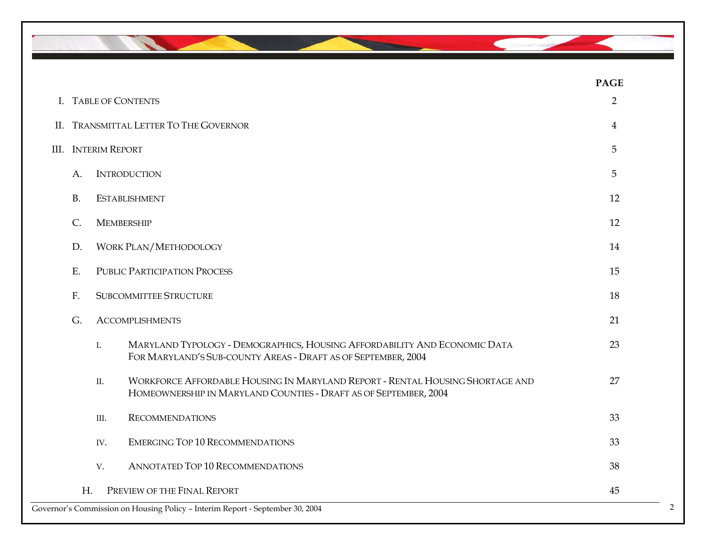

|           |                            |                                                                                                                                                   | <b>PAGE</b>    |
|-----------|----------------------------|---------------------------------------------------------------------------------------------------------------------------------------------------|----------------|
|           |                            | I. TABLE OF CONTENTS                                                                                                                              | $\overline{2}$ |
|           |                            | II. TRANSMITTAL LETTER TO THE GOVERNOR                                                                                                            | $\overline{4}$ |
|           | <b>III.</b> INTERIM REPORT |                                                                                                                                                   | 5              |
| A.        |                            | <b>INTRODUCTION</b>                                                                                                                               | 5              |
| <b>B.</b> |                            | <b>ESTABLISHMENT</b>                                                                                                                              | 12             |
| C.        |                            | <b>MEMBERSHIP</b>                                                                                                                                 | 12             |
| D.        |                            | <b>WORK PLAN/METHODOLOGY</b>                                                                                                                      | 14             |
| Ε.        |                            | <b>PUBLIC PARTICIPATION PROCESS</b>                                                                                                               | 15             |
| F.        |                            | <b>SUBCOMMITTEE STRUCTURE</b>                                                                                                                     | 18             |
| G.        |                            | <b>ACCOMPLISHMENTS</b>                                                                                                                            | 21             |
|           | I.                         | MARYLAND TYPOLOGY - DEMOGRAPHICS, HOUSING AFFORDABILITY AND ECONOMIC DATA<br>FOR MARYLAND'S SUB-COUNTY AREAS - DRAFT AS OF SEPTEMBER, 2004        | 23             |
|           | II.                        | WORKFORCE AFFORDABLE HOUSING IN MARYLAND REPORT - RENTAL HOUSING SHORTAGE AND<br>HOMEOWNERSHIP IN MARYLAND COUNTIES - DRAFT AS OF SEPTEMBER, 2004 | 27             |
|           | III.                       | <b>RECOMMENDATIONS</b>                                                                                                                            | 33             |
|           | IV.                        | <b>EMERGING TOP 10 RECOMMENDATIONS</b>                                                                                                            | 33             |
|           | V.                         | ANNOTATED TOP 10 RECOMMENDATIONS                                                                                                                  | 38             |
| H.        |                            | PREVIEW OF THE FINAL REPORT                                                                                                                       | 45             |
|           |                            | Governor's Commission on Housing Policy - Interim Report - September 30, 2004                                                                     | $\mathcal{D}$  |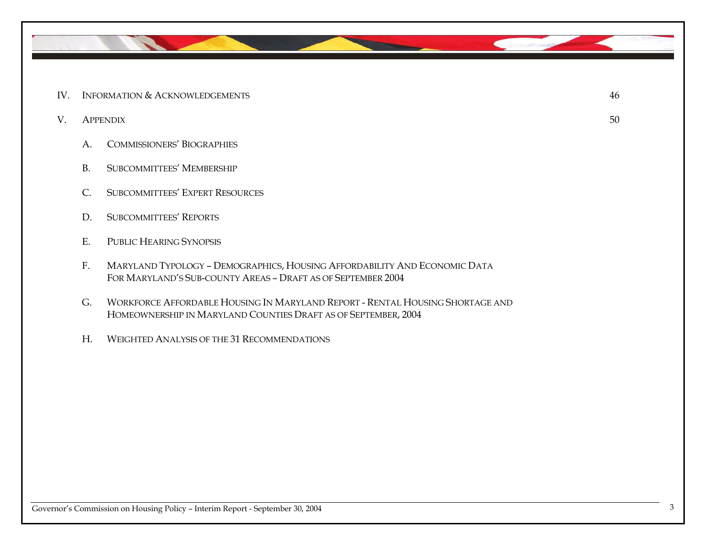

- IV. INFORMATION & ACKNOWLEDGEMENTS 46
- V. APPENDIX 50
	- A. COMMISSIONERS' BIOGRAPHIES
	- B. SUBCOMMITTEES' MEMBERSHIP
	- C. SUBCOMMITTEES' EXPERT RESOURCES
	- D. SUBCOMMITTEES' REPORTS
	- E. PUBLIC HEARING SYNOPSIS
	- F. MARYLAND TYPOLOGY DEMOGRAPHICS, HOUSING AFFORDABILITY AND ECONOMIC DATA FOR MARYLAND'S SUB-COUNTY AREAS – DRAFT AS OF SEPTEMBER 2004
	- G. WORKFORCE AFFORDABLE HOUSING IN MARYLAND REPORT RENTAL HOUSING SHORTAGE AND HOMEOWNERSHIP IN MARYLAND COUNTIES DRAFT AS OF SEPTEMBER, 2004
	- H. WEIGHTED ANALYSIS OF THE 31 RECOMMENDATIONS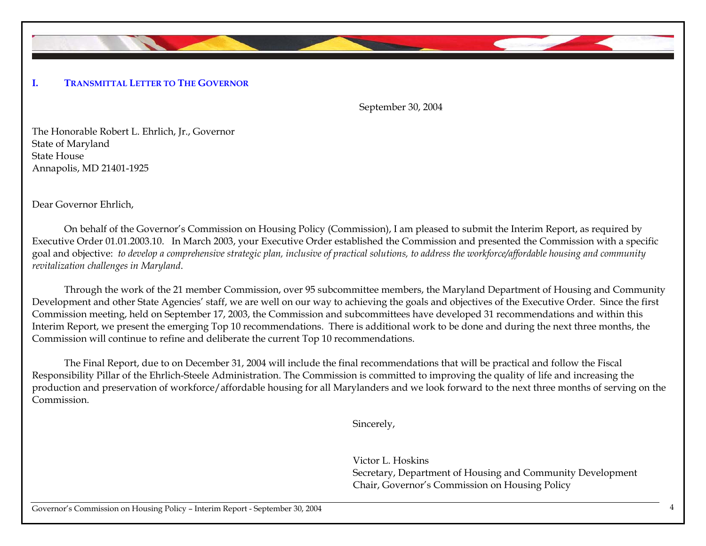

September 30, 2004

The Honorable Robert L. Ehrlich, Jr., Governor State of Maryland State House Annapolis, MD 21401-1925

Dear Governor Ehrlich,

On behalf of the Governor's Commission on Housing Policy (Commission), I am pleased to submit the Interim Report, as required by Executive Order 01.01.2003.10. In March 2003, your Executive Order established the Commission and presented the Commission with a specific goal and objective: *to develop a comprehensive strategic plan, inclusive of practical solutions, to address the workforce/affordable housing and community revitalization challenges in Maryland*.

Through the work of the 21 member Commission, over 95 subcommittee members, the Maryland Department of Housing and Community Development and other State Agencies' staff, we are well on our way to achieving the goals and objectives of the Executive Order. Since the first Commission meeting, held on September 17, 2003, the Commission and subcommittees have developed 31 recommendations and within this Interim Report, we present the emerging Top 10 recommendations. There is additional work to be done and during the next three months, the Commission will continue to refine and deliberate the current Top 10 recommendations.

The Final Report, due to on December 31, 2004 will include the final recommendations that will be practical and follow the Fiscal Responsibility Pillar of the Ehrlich-Steele Administration. The Commission is committed to improving the quality of life and increasing the production and preservation of workforce/affordable housing for all Marylanders and we look forward to the next three months of serving on the Commission.

Sincerely,

Victor L. Hoskins Secretary, Department of Housing and Community Development Chair, Governor's Commission on Housing Policy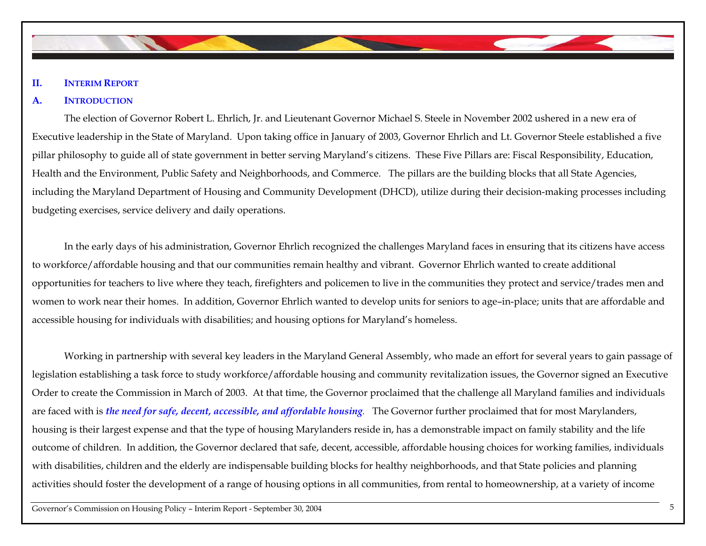## **II. INTERIM REPORT**

### **A. INTRODUCTION**

 The election of Governor Robert L. Ehrlich, Jr. and Lieutenant Governor Michael S. Steele in November 2002 ushered in a new era of Executive leadership in the State of Maryland. Upon taking office in January of 2003, Governor Ehrlich and Lt. Governor Steele established a five pillar philosophy to guide all of state government in better serving Maryland's citizens. These Five Pillars are: Fiscal Responsibility, Education, Health and the Environment, Public Safety and Neighborhoods, and Commerce. The pillars are the building blocks that all State Agencies, including the Maryland Department of Housing and Community Development (DHCD), utilize during their decision-making processes including budgeting exercises, service delivery and daily operations.

 In the early days of his administration, Governor Ehrlich recognized the challenges Maryland faces in ensuring that its citizens have access to workforce/affordable housing and that our communities remain healthy and vibrant. Governor Ehrlich wanted to create additional opportunities for teachers to live where they teach, firefighters and policemen to live in the communities they protect and service/trades men and women to work near their homes. In addition, Governor Ehrlich wanted to develop units for seniors to age–in-place; units that are affordable and accessible housing for individuals with disabilities; and housing options for Maryland's homeless.

Working in partnership with several key leaders in the Maryland General Assembly, who made an effort for several years to gain passage of legislation establishing a task force to study workforce/affordable housing and community revitalization issues, the Governor signed an Executive Order to create the Commission in March of 2003. At that time, the Governor proclaimed that the challenge all Maryland families and individuals are faced with is *the need for safe, decent, accessible, and affordable housing.* The Governor further proclaimed that for most Marylanders, housing is their largest expense and that the type of housing Marylanders reside in, has a demonstrable impact on family stability and the life outcome of children. In addition, the Governor declared that safe, decent, accessible, affordable housing choices for working families, individuals with disabilities, children and the elderly are indispensable building blocks for healthy neighborhoods, and that State policies and planning activities should foster the development of a range of housing options in all communities, from rental to homeownership, at a variety of income

Governor's Commission on Housing Policy – Interim Report - September 30, 2004 5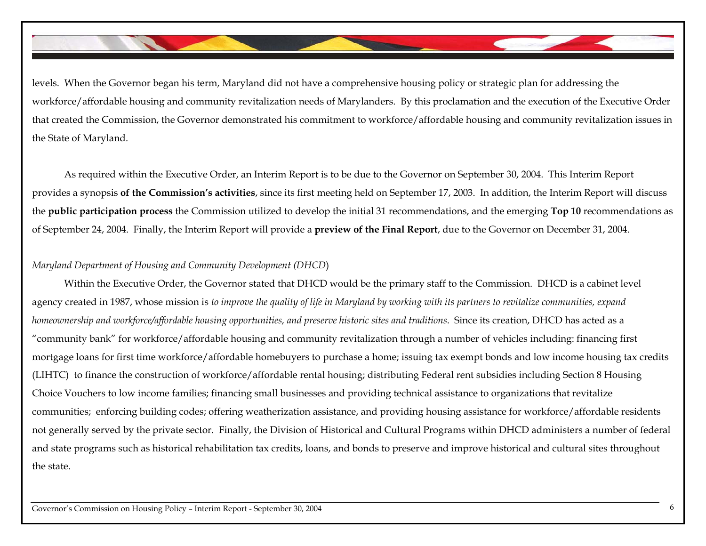levels. When the Governor began his term, Maryland did not have a comprehensive housing policy or strategic plan for addressing the workforce/affordable housing and community revitalization needs of Marylanders. By this proclamation and the execution of the Executive Order that created the Commission, the Governor demonstrated his commitment to workforce/affordable housing and community revitalization issues in the State of Maryland.

As required within the Executive Order, an Interim Report is to be due to the Governor on September 30, 2004. This Interim Report provides a synopsis **of the Commission's activities**, since its first meeting held on September 17, 2003. In addition, the Interim Report will discuss the **public participation process** the Commission utilized to develop the initial 31 recommendations, and the emerging **Top 10** recommendations as of September 24, 2004. Finally, the Interim Report will provide a **preview of the Final Report**, due to the Governor on December 31, 2004.

## *Maryland Department of Housing and Community Development (DHCD*)

Within the Executive Order, the Governor stated that DHCD would be the primary staff to the Commission. DHCD is a cabinet level agency created in 1987, whose mission is *to improve the quality of life in Maryland by working with its partners to revitalize communities, expand homeownership and workforce/affordable housing opportunities, and preserve historic sites and traditions*. Since its creation, DHCD has acted as a "community bank" for workforce/affordable housing and community revitalization through a number of vehicles including: financing first mortgage loans for first time workforce/affordable homebuyers to purchase a home; issuing tax exempt bonds and low income housing tax credits (LIHTC) to finance the construction of workforce/affordable rental housing; distributing Federal rent subsidies including Section 8 Housing Choice Vouchers to low income families; financing small businesses and providing technical assistance to organizations that revitalize communities; enforcing building codes; offering weatherization assistance, and providing housing assistance for workforce/affordable residents not generally served by the private sector. Finally, the Division of Historical and Cultural Programs within DHCD administers a number of federal and state programs such as historical rehabilitation tax credits, loans, and bonds to preserve and improve historical and cultural sites throughout the state.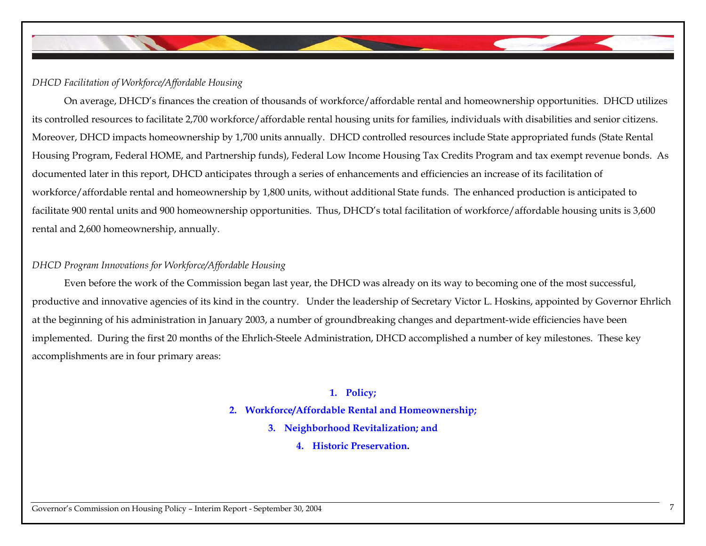

## *DHCD Facilitation of Workforce/Affordable Housing*

On average, DHCD's finances the creation of thousands of workforce/affordable rental and homeownership opportunities. DHCD utilizes its controlled resources to facilitate 2,700 workforce/affordable rental housing units for families, individuals with disabilities and senior citizens. Moreover, DHCD impacts homeownership by 1,700 units annually. DHCD controlled resources include State appropriated funds (State Rental Housing Program, Federal HOME, and Partnership funds), Federal Low Income Housing Tax Credits Program and tax exempt revenue bonds. As documented later in this report, DHCD anticipates through a series of enhancements and efficiencies an increase of its facilitation of workforce/affordable rental and homeownership by 1,800 units, without additional State funds. The enhanced production is anticipated to facilitate 900 rental units and 900 homeownership opportunities. Thus, DHCD's total facilitation of workforce/affordable housing units is 3,600 rental and 2,600 homeownership, annually.

## *DHCD Program Innovations for Workforce/Affordable Housing*

Even before the work of the Commission began last year, the DHCD was already on its way to becoming one of the most successful, productive and innovative agencies of its kind in the country. Under the leadership of Secretary Victor L. Hoskins, appointed by Governor Ehrlich at the beginning of his administration in January 2003, a number of groundbreaking changes and department-wide efficiencies have been implemented. During the first 20 months of the Ehrlich-Steele Administration, DHCD accomplished a number of key milestones. These key accomplishments are in four primary areas:

## **1. Policy;**

## **2. Workforce/Affordable Rental and Homeownership;**

- **3. Neighborhood Revitalization; and** 
	- **4. Historic Preservation.**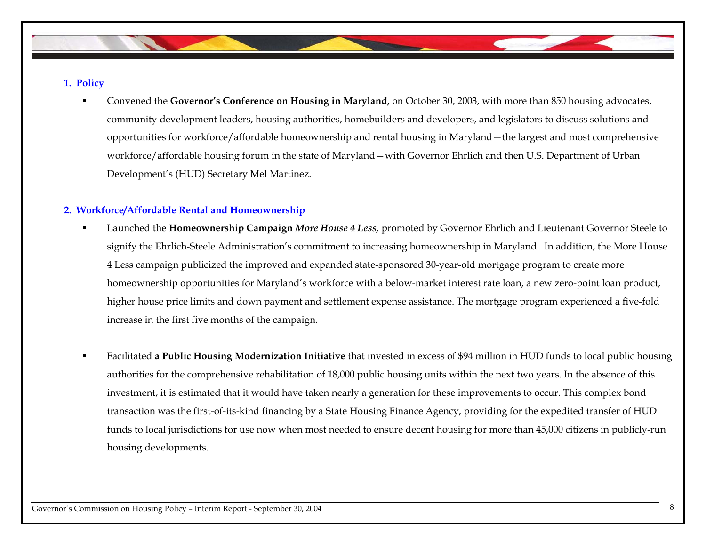## **1. Policy**

п Convened the **Governor's Conference on Housing in Maryland,** on October 30, 2003, with more than 850 housing advocates, community development leaders, housing authorities, homebuilders and developers, and legislators to discuss solutions and opportunities for workforce/affordable homeownership and rental housing in Maryland—the largest and most comprehensive workforce/affordable housing forum in the state of Maryland—with Governor Ehrlich and then U.S. Department of Urban Development's (HUD) Secretary Mel Martinez.

## **2. Workforce/Affordable Rental and Homeownership**

- Launched the **Homeownership Campaign** *More House 4 Less,* promoted by Governor Ehrlich and Lieutenant Governor Steele to signify the Ehrlich-Steele Administration's commitment to increasing homeownership in Maryland. In addition, the More House 4 Less campaign publicized the improved and expanded state-sponsored 30-year-old mortgage program to create more homeownership opportunities for Maryland's workforce with a below-market interest rate loan, a new zero-point loan product, higher house price limits and down payment and settlement expense assistance. The mortgage program experienced a five-fold increase in the first five months of the campaign.
- п Facilitated **a Public Housing Modernization Initiative** that invested in excess of \$94 million in HUD funds to local public housing authorities for the comprehensive rehabilitation of 18,000 public housing units within the next two years. In the absence of this investment, it is estimated that it would have taken nearly a generation for these improvements to occur. This complex bond transaction was the first-of-its-kind financing by a State Housing Finance Agency, providing for the expedited transfer of HUD funds to local jurisdictions for use now when most needed to ensure decent housing for more than 45,000 citizens in publicly-run housing developments.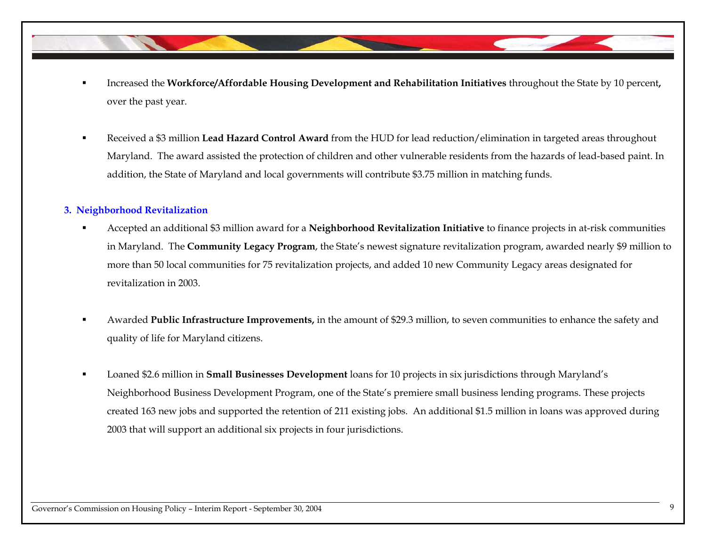- Increased the **Workforce/Affordable Housing Development and Rehabilitation Initiatives** throughout the State by 10 percent**,**  over the past year.
- Received a \$3 million **Lead Hazard Control Award** from the HUD for lead reduction/elimination in targeted areas throughout Maryland. The award assisted the protection of children and other vulnerable residents from the hazards of lead-based paint. In addition, the State of Maryland and local governments will contribute \$3.75 million in matching funds.

## **3. Neighborhood Revitalization**

- Accepted an additional \$3 million award for a **Neighborhood Revitalization Initiative** to finance projects in at-risk communities in Maryland. The **Community Legacy Program**, the State's newest signature revitalization program, awarded nearly \$9 million to more than 50 local communities for 75 revitalization projects, and added 10 new Community Legacy areas designated for revitalization in 2003.
- Awarded **Public Infrastructure Improvements,** in the amount of \$29.3 million, to seven communities to enhance the safety and quality of life for Maryland citizens.
- Loaned \$2.6 million in **Small Businesses Development** loans for 10 projects in six jurisdictions through Maryland's Neighborhood Business Development Program, one of the State's premiere small business lending programs. These projects created 163 new jobs and supported the retention of 211 existing jobs. An additional \$1.5 million in loans was approved during 2003 that will support an additional six projects in four jurisdictions.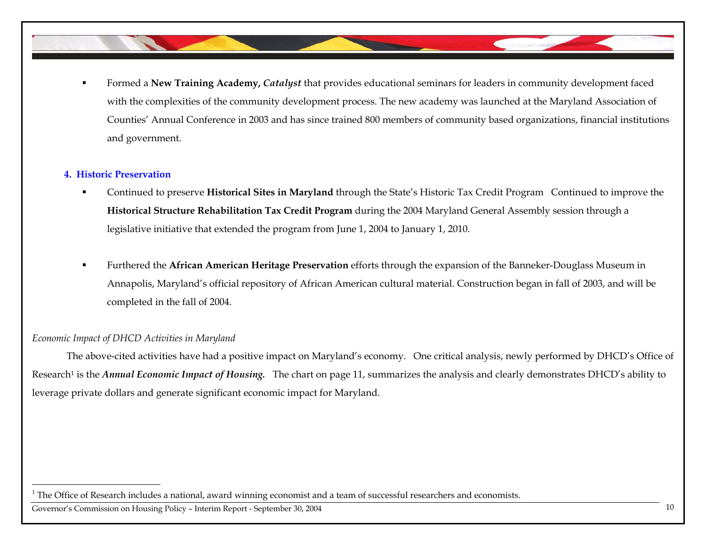Formed a **New Training Academy,** *Catalyst* that provides educational seminars for leaders in community development faced with the complexities of the community development process. The new academy was launched at the Maryland Association of Counties' Annual Conference in 2003 and has since trained 800 members of community based organizations, financial institutions and government.

## **4. Historic Preservation**

- Continued to preserve **Historical Sites in Maryland** through the State's Historic Tax Credit Program Continued to improve the **Historical Structure Rehabilitation Tax Credit Program** during the 2004 Maryland General Assembly session through a legislative initiative that extended the program from June 1, 2004 to January 1, 2010.
- п Furthered the **African American Heritage Preservation** efforts through the expansion of the Banneker-Douglass Museum in Annapolis, Maryland's official repository of African American cultural material. Construction began in fall of 2003, and will be completed in the fall of 2004.

## *Economic Impact of DHCD Activities in Maryland*

 The above-cited activities have had a positive impact on Maryland's economy. One critical analysis, newly performed by DHCD's Office of Research<sup>1</sup> is the *Annual Economic Impact of Housing*. The chart on page 11, summarizes the analysis and clearly demonstrates DHCD's ability to leverage private dollars and generate significant economic impact for Maryland.

Governor's Commission on Housing Policy - Interim Report - September 30, 2004 10

 $1$  The Office of Research includes a national, award winning economist and a team of successful researchers and economists.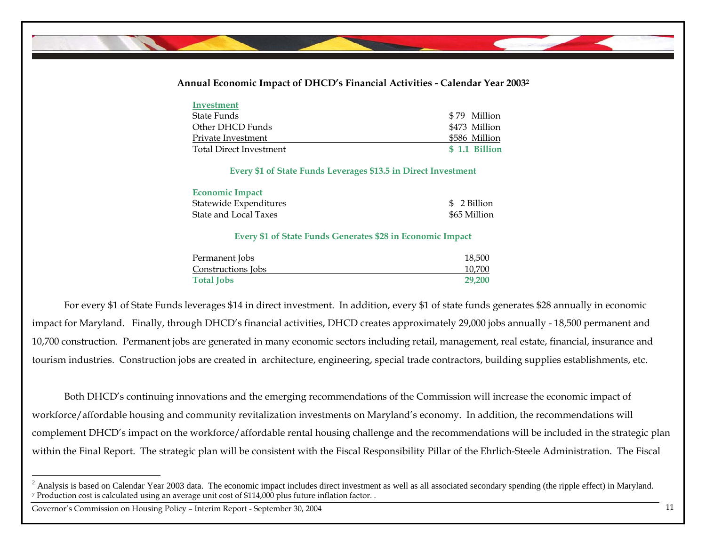## **Annual Economic Impact of DHCD's Financial Activities - Calendar Year 20032**

| Investment              |                |
|-------------------------|----------------|
| State Funds             | \$79 Million   |
| Other DHCD Funds        | \$473 Million  |
| Private Investment      | \$586 Million  |
| Total Direct Investment | \$ 1.1 Billion |

### **Every \$1 of State Funds Leverages \$13.5 in Direct Investment**

| <b>Economic Impact</b> |              |
|------------------------|--------------|
| Statewide Expenditures | \$2 Billion  |
| State and Local Taxes  | \$65 Million |

### **Every \$1 of State Funds Generates \$28 in Economic Impact**

| Permanent Jobs     | 18,500 |
|--------------------|--------|
| Constructions Jobs | 10,700 |
| <b>Total Jobs</b>  | 29,200 |

For every \$1 of State Funds leverages \$14 in direct investment. In addition, every \$1 of state funds generates \$28 annually in economic impact for Maryland. Finally, through DHCD's financial activities, DHCD creates approximately 29,000 jobs annually - 18,500 permanent and 10,700 construction. Permanent jobs are generated in many economic sectors including retail, management, real estate, financial, insurance and tourism industries. Construction jobs are created in architecture, engineering, special trade contractors, building supplies establishments, etc.

Both DHCD's continuing innovations and the emerging recommendations of the Commission will increase the economic impact of workforce/affordable housing and community revitalization investments on Maryland's economy. In addition, the recommendations will complement DHCD's impact on the workforce/affordable rental housing challenge and the recommendations will be included in the strategic plan within the Final Report. The strategic plan will be consistent with the Fiscal Responsibility Pillar of the Ehrlich-Steele Administration. The Fiscal

Governor's Commission on Housing Policy – Interim Report - September 30, 2004

<sup>&</sup>lt;sup>2</sup> Analysis is based on Calendar Year 2003 data. The economic impact includes direct investment as well as all associated secondary spending (the ripple effect) in Maryland. 7 Production cost is calculated using an average unit cost of \$114,000 plus future inflation factor. .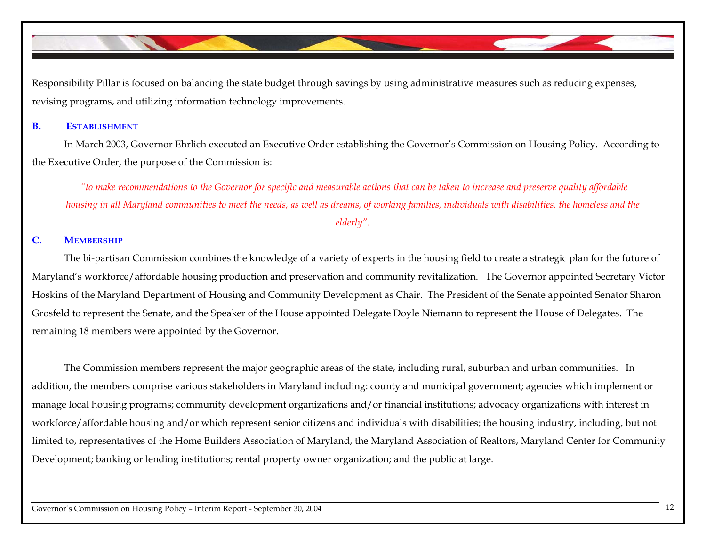Responsibility Pillar is focused on balancing the state budget through savings by using administrative measures such as reducing expenses, revising programs, and utilizing information technology improvements.

#### **B.ESTABLISHMENT**

In March 2003, Governor Ehrlich executed an Executive Order establishing the Governor's Commission on Housing Policy. According to the Executive Order, the purpose of the Commission is:

 *"to make recommendations to the Governor for specific and measurable actions that can be taken to increase and preserve quality affordable housing in all Maryland communities to meet the needs, as well as dreams, of working families, individuals with disabilities, the homeless and the elderly".* 

## **C. MEMBERSHIP**

 The bi-partisan Commission combines the knowledge of a variety of experts in the housing field to create a strategic plan for the future of Maryland's workforce/affordable housing production and preservation and community revitalization. The Governor appointed Secretary Victor Hoskins of the Maryland Department of Housing and Community Development as Chair. The President of the Senate appointed Senator Sharon Grosfeld to represent the Senate, and the Speaker of the House appointed Delegate Doyle Niemann to represent the House of Delegates. The remaining 18 members were appointed by the Governor.

The Commission members represent the major geographic areas of the state, including rural, suburban and urban communities. In addition, the members comprise various stakeholders in Maryland including: county and municipal government; agencies which implement or manage local housing programs; community development organizations and/or financial institutions; advocacy organizations with interest in workforce/affordable housing and/or which represent senior citizens and individuals with disabilities; the housing industry, including, but not limited to, representatives of the Home Builders Association of Maryland, the Maryland Association of Realtors, Maryland Center for Community Development; banking or lending institutions; rental property owner organization; and the public at large.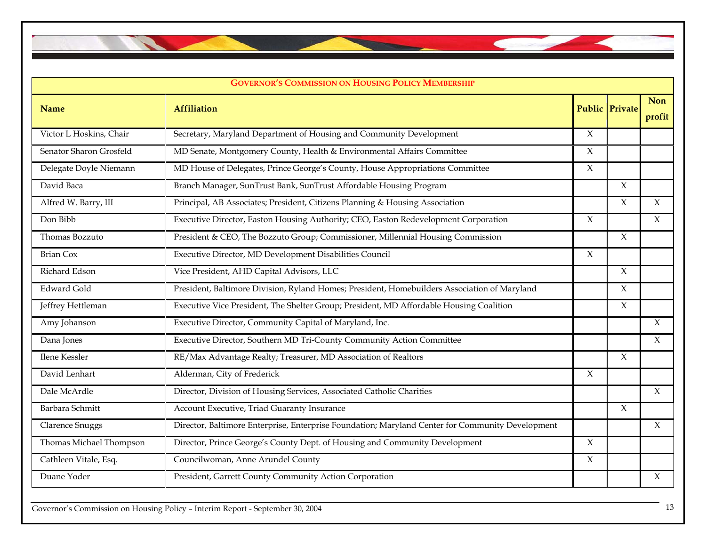

| <b>GOVERNOR'S COMMISSION ON HOUSING POLICY MEMBERSHIP</b> |                                                                                                  |        |                       |                      |  |  |  |  |
|-----------------------------------------------------------|--------------------------------------------------------------------------------------------------|--------|-----------------------|----------------------|--|--|--|--|
| <b>Name</b>                                               | <b>Affiliation</b>                                                                               |        | <b>Public Private</b> | <b>Non</b><br>profit |  |  |  |  |
| Victor L Hoskins, Chair                                   | Secretary, Maryland Department of Housing and Community Development                              | $\chi$ |                       |                      |  |  |  |  |
| Senator Sharon Grosfeld                                   | MD Senate, Montgomery County, Health & Environmental Affairs Committee                           | $\chi$ |                       |                      |  |  |  |  |
| Delegate Doyle Niemann                                    | MD House of Delegates, Prince George's County, House Appropriations Committee                    | $\chi$ |                       |                      |  |  |  |  |
| David Baca                                                | Branch Manager, SunTrust Bank, SunTrust Affordable Housing Program                               |        | $\chi$                |                      |  |  |  |  |
| Alfred W. Barry, III                                      | Principal, AB Associates; President, Citizens Planning & Housing Association                     |        | $\chi$                | $\chi$               |  |  |  |  |
| Don Bibb                                                  | Executive Director, Easton Housing Authority; CEO, Easton Redevelopment Corporation              | $\chi$ |                       | $\chi$               |  |  |  |  |
| Thomas Bozzuto                                            | President & CEO, The Bozzuto Group; Commissioner, Millennial Housing Commission                  |        | $\mathsf X$           |                      |  |  |  |  |
| <b>Brian Cox</b>                                          | Executive Director, MD Development Disabilities Council                                          | $\chi$ |                       |                      |  |  |  |  |
| Richard Edson                                             | Vice President, AHD Capital Advisors, LLC                                                        |        | X                     |                      |  |  |  |  |
| <b>Edward Gold</b>                                        | President, Baltimore Division, Ryland Homes; President, Homebuilders Association of Maryland     |        | X                     |                      |  |  |  |  |
| Jeffrey Hettleman                                         | Executive Vice President, The Shelter Group; President, MD Affordable Housing Coalition          |        | X                     |                      |  |  |  |  |
| Amy Johanson                                              | Executive Director, Community Capital of Maryland, Inc.                                          |        |                       | $\chi$               |  |  |  |  |
| Dana Jones                                                | Executive Director, Southern MD Tri-County Community Action Committee                            |        |                       | $\chi$               |  |  |  |  |
| Ilene Kessler                                             | RE/Max Advantage Realty; Treasurer, MD Association of Realtors                                   |        | $\chi$                |                      |  |  |  |  |
| David Lenhart                                             | Alderman, City of Frederick                                                                      | $\chi$ |                       |                      |  |  |  |  |
| Dale McArdle                                              | Director, Division of Housing Services, Associated Catholic Charities                            |        |                       | $\chi$               |  |  |  |  |
| Barbara Schmitt                                           | Account Executive, Triad Guaranty Insurance                                                      |        | $\chi$                |                      |  |  |  |  |
| <b>Clarence Snuggs</b>                                    | Director, Baltimore Enterprise, Enterprise Foundation; Maryland Center for Community Development |        |                       | $\chi$               |  |  |  |  |
| Thomas Michael Thompson                                   | Director, Prince George's County Dept. of Housing and Community Development                      | $\chi$ |                       |                      |  |  |  |  |
| Cathleen Vitale, Esq.                                     | Councilwoman, Anne Arundel County                                                                | $\chi$ |                       |                      |  |  |  |  |
| Duane Yoder                                               | President, Garrett County Community Action Corporation                                           |        |                       | $\chi$               |  |  |  |  |

Governor's Commission on Housing Policy – Interim Report - September 30, 2004 13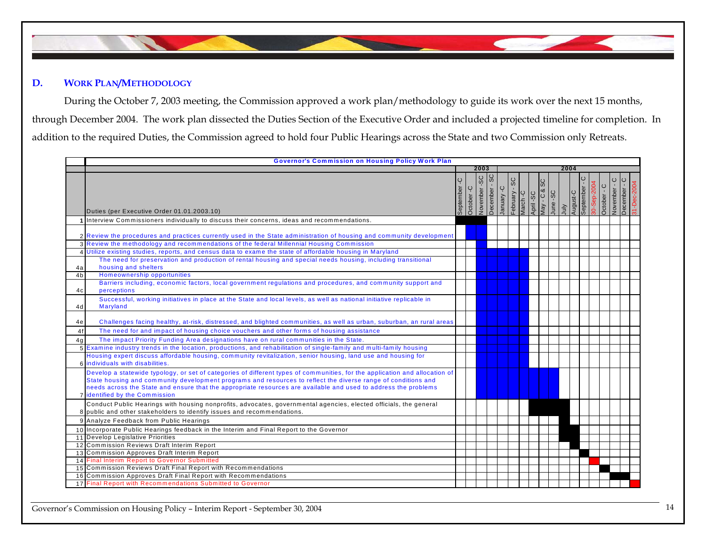

## **D. WORK PLAN/METHODOLOGY**

During the October 7, 2003 meeting, the Commission approved a work plan/methodology to guide its work over the next 15 months, through December 2004. The work plan dissected the Duties Section of the Executive Order and included a projected timeline for completion. In addition to the required Duties, the Commission agreed to hold four Public Hearings across the State and two Commission only Retreats.

|                | <b>Governor's Commission on Housing Policy Work Plan</b>                                                                                                                                                                                                                                                                                                                                                                                                                |             |            |                 |               |            |               |                       |    |                          |      |                               |             |             |                        |             |
|----------------|-------------------------------------------------------------------------------------------------------------------------------------------------------------------------------------------------------------------------------------------------------------------------------------------------------------------------------------------------------------------------------------------------------------------------------------------------------------------------|-------------|------------|-----------------|---------------|------------|---------------|-----------------------|----|--------------------------|------|-------------------------------|-------------|-------------|------------------------|-------------|
|                |                                                                                                                                                                                                                                                                                                                                                                                                                                                                         |             |            | 2003            |               |            |               |                       |    |                          | 2004 |                               |             |             |                        |             |
|                | Duties (per Executive Order 01.01.2003.10)                                                                                                                                                                                                                                                                                                                                                                                                                              | September-C | October -C | SC<br>November- | December - SC | January -C | February - SC | March -C<br>April -SC | ЗS | May - C & S<br>June - SC |      | July<br>August-C<br>September | 80-Sep-2004 | October - C | November-<br>December- | 31-Dec-2004 |
|                | 1 Interview Commissioners individually to discuss their concerns, ideas and recommendations.                                                                                                                                                                                                                                                                                                                                                                            |             |            |                 |               |            |               |                       |    |                          |      |                               |             |             |                        |             |
| 4a             | 2 Review the procedures and practices currently used in the State administration of housing and community development<br>3 Review the methodology and recommendations of the federal Millennial Housing Commission<br>4 Utilize existing studies, reports, and census data to exame the state of affordable housing in Maryland<br>The need for preservation and production of rental housing and special needs housing, including transitional<br>housing and shelters |             |            |                 |               |            |               |                       |    |                          |      |                               |             |             |                        |             |
| 4 <sub>b</sub> | Homeownership opportunities                                                                                                                                                                                                                                                                                                                                                                                                                                             |             |            |                 |               |            |               |                       |    |                          |      |                               |             |             |                        |             |
| 4c             | Barriers including, economic factors, local government regulations and procedures, and community support and<br>perceptions                                                                                                                                                                                                                                                                                                                                             |             |            |                 |               |            |               |                       |    |                          |      |                               |             |             |                        |             |
| 4d             | Successful, working initiatives in place at the State and local levels, as well as national initiative replicable in<br>Maryland                                                                                                                                                                                                                                                                                                                                        |             |            |                 |               |            |               |                       |    |                          |      |                               |             |             |                        |             |
| 4e             | Challenges facing healthy, at-risk, distressed, and blighted communities, as well as urban, suburban, an rural areas                                                                                                                                                                                                                                                                                                                                                    |             |            |                 |               |            |               |                       |    |                          |      |                               |             |             |                        |             |
| 4f             | The need for and impact of housing choice vouchers and other forms of housing assistance                                                                                                                                                                                                                                                                                                                                                                                |             |            |                 |               |            |               |                       |    |                          |      |                               |             |             |                        |             |
| 4q             | The impact Priority Funding Area designations have on rural communities in the State.                                                                                                                                                                                                                                                                                                                                                                                   |             |            |                 |               |            |               |                       |    |                          |      |                               |             |             |                        |             |
|                | 5 Examine industry trends in the location, productions, and rehabilitation of single-family and multi-family housing                                                                                                                                                                                                                                                                                                                                                    |             |            |                 |               |            |               |                       |    |                          |      |                               |             |             |                        |             |
|                | Housing expert discuss affordable housing, community revitalization, senior housing, land use and housing for<br>6 individuals with disabilities.                                                                                                                                                                                                                                                                                                                       |             |            |                 |               |            |               |                       |    |                          |      |                               |             |             |                        |             |
|                | Develop a statewide typology, or set of categories of different types of communities, for the application and allocation of<br>State housing and community development programs and resources to reflect the diverse range of conditions and<br>needs across the State and ensure that the appropriate resources are available and used to address the problems<br>7 identified by the Commission                                                                       |             |            |                 |               |            |               |                       |    |                          |      |                               |             |             |                        |             |
|                | Conduct Public Hearings with housing nonprofits, advocates, governmental agencies, elected officials, the general<br>8 public and other stakeholders to identify issues and recommendations.                                                                                                                                                                                                                                                                            |             |            |                 |               |            |               |                       |    |                          |      |                               |             |             |                        |             |
|                | 9 Analyze Feedback from Public Hearings                                                                                                                                                                                                                                                                                                                                                                                                                                 |             |            |                 |               |            |               |                       |    |                          |      |                               |             |             |                        |             |
|                | 10 Incorporate Public Hearings feedback in the Interim and Final Report to the Governor                                                                                                                                                                                                                                                                                                                                                                                 |             |            |                 |               |            |               |                       |    |                          |      |                               |             |             |                        |             |
|                | 11 Develop Legislative Priorities                                                                                                                                                                                                                                                                                                                                                                                                                                       |             |            |                 |               |            |               |                       |    |                          |      |                               |             |             |                        |             |
|                | 12 Commission Reviews Draft Interim Report                                                                                                                                                                                                                                                                                                                                                                                                                              |             |            |                 |               |            |               |                       |    |                          |      |                               |             |             |                        |             |
|                | 13 Commission Approves Draft Interim Report                                                                                                                                                                                                                                                                                                                                                                                                                             |             |            |                 |               |            |               |                       |    |                          |      |                               |             |             |                        |             |
|                | 14 Final Interim Report to Governor Submitted                                                                                                                                                                                                                                                                                                                                                                                                                           |             |            |                 |               |            |               |                       |    |                          |      |                               |             |             |                        |             |
|                | 15 Commission Reviews Draft Final Report with Recommendations                                                                                                                                                                                                                                                                                                                                                                                                           |             |            |                 |               |            |               |                       |    |                          |      |                               |             |             |                        |             |
|                | 16 Commission Approves Draft Final Report with Recommendations<br>17 Final Report with Recommendations Submitted to Governor                                                                                                                                                                                                                                                                                                                                            |             |            |                 |               |            |               |                       |    |                          |      |                               |             |             |                        |             |
|                |                                                                                                                                                                                                                                                                                                                                                                                                                                                                         |             |            |                 |               |            |               |                       |    |                          |      |                               |             |             |                        |             |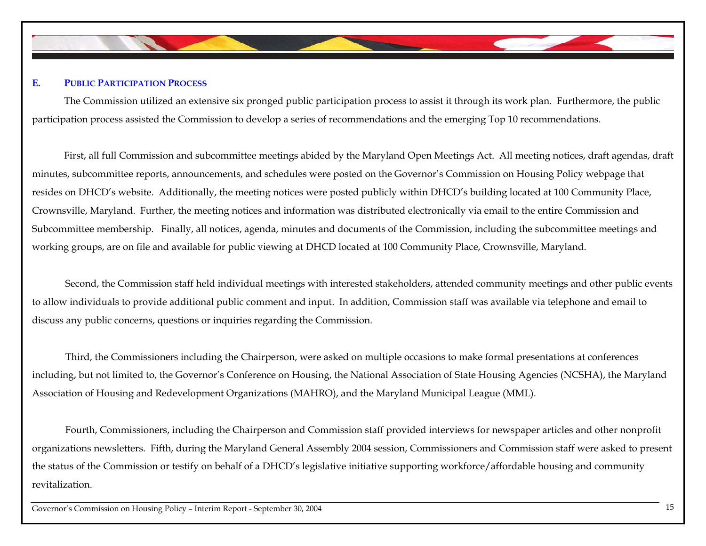

## **E. PUBLIC PARTICIPATION PROCESS**

The Commission utilized an extensive six pronged public participation process to assist it through its work plan. Furthermore, the public participation process assisted the Commission to develop a series of recommendations and the emerging Top 10 recommendations.

First, all full Commission and subcommittee meetings abided by the Maryland Open Meetings Act. All meeting notices, draft agendas, draft minutes, subcommittee reports, announcements, and schedules were posted on the Governor's Commission on Housing Policy webpage that resides on DHCD's website. Additionally, the meeting notices were posted publicly within DHCD's building located at 100 Community Place, Crownsville, Maryland. Further, the meeting notices and information was distributed electronically via email to the entire Commission and Subcommittee membership. Finally, all notices, agenda, minutes and documents of the Commission, including the subcommittee meetings and working groups, are on file and available for public viewing at DHCD located at 100 Community Place, Crownsville, Maryland.

 Second, the Commission staff held individual meetings with interested stakeholders, attended community meetings and other public events to allow individuals to provide additional public comment and input. In addition, Commission staff was available via telephone and email to discuss any public concerns, questions or inquiries regarding the Commission.

 Third, the Commissioners including the Chairperson, were asked on multiple occasions to make formal presentations at conferences including, but not limited to, the Governor's Conference on Housing, the National Association of State Housing Agencies (NCSHA), the Maryland Association of Housing and Redevelopment Organizations (MAHRO), and the Maryland Municipal League (MML).

 Fourth, Commissioners, including the Chairperson and Commission staff provided interviews for newspaper articles and other nonprofit organizations newsletters. Fifth, during the Maryland General Assembly 2004 session, Commissioners and Commission staff were asked to present the status of the Commission or testify on behalf of a DHCD's legislative initiative supporting workforce/affordable housing and community revitalization.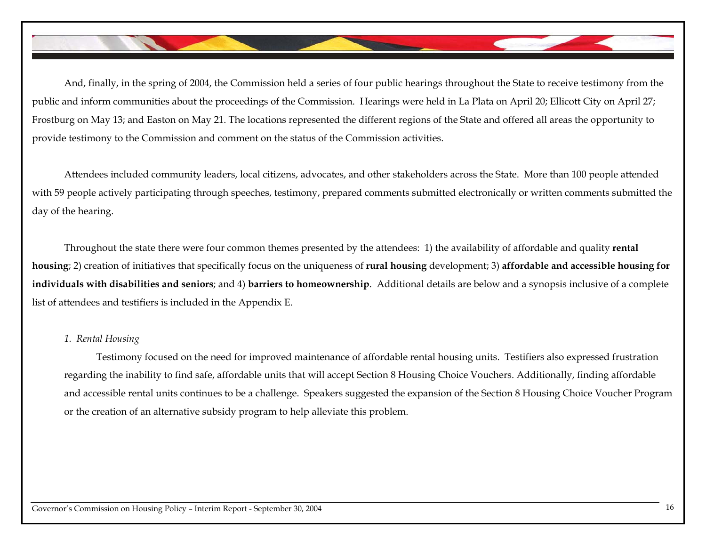And, finally, in the spring of 2004, the Commission held a series of four public hearings throughout the State to receive testimony from the public and inform communities about the proceedings of the Commission. Hearings were held in La Plata on April 20; Ellicott City on April 27; Frostburg on May 13; and Easton on May 21. The locations represented the different regions of the State and offered all areas the opportunity to provide testimony to the Commission and comment on the status of the Commission activities.

Attendees included community leaders, local citizens, advocates, and other stakeholders across the State. More than 100 people attended with 59 people actively participating through speeches, testimony, prepared comments submitted electronically or written comments submitted the day of the hearing.

Throughout the state there were four common themes presented by the attendees: 1) the availability of affordable and quality **rental housing**; 2) creation of initiatives that specifically focus on the uniqueness of **rural housing** development; 3) **affordable and accessible housing for individuals with disabilities and seniors**; and 4) **barriers to homeownership**. Additional details are below and a synopsis inclusive of a complete list of attendees and testifiers is included in the Appendix E.

## *1. Rental Housing*

Testimony focused on the need for improved maintenance of affordable rental housing units. Testifiers also expressed frustration regarding the inability to find safe, affordable units that will accept Section 8 Housing Choice Vouchers. Additionally, finding affordable and accessible rental units continues to be a challenge. Speakers suggested the expansion of the Section 8 Housing Choice Voucher Program or the creation of an alternative subsidy program to help alleviate this problem.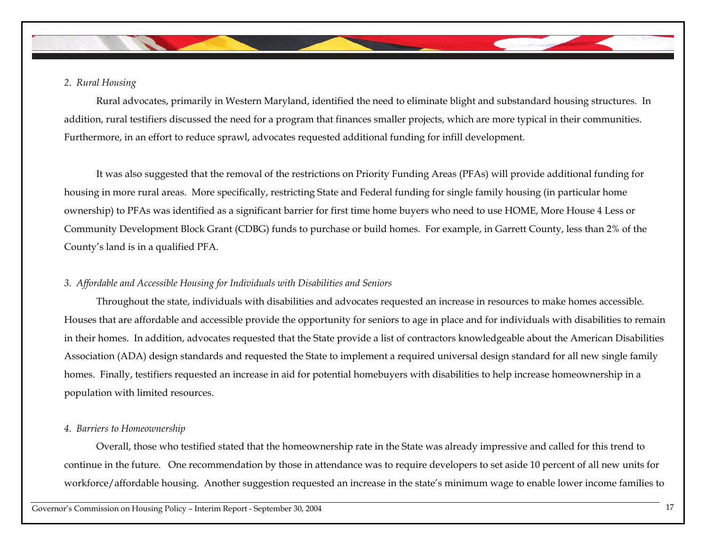## *2. Rural Housing*

Rural advocates, primarily in Western Maryland, identified the need to eliminate blight and substandard housing structures. In addition, rural testifiers discussed the need for a program that finances smaller projects, which are more typical in their communities. Furthermore, in an effort to reduce sprawl, advocates requested additional funding for infill development.

It was also suggested that the removal of the restrictions on Priority Funding Areas (PFAs) will provide additional funding for housing in more rural areas. More specifically, restricting State and Federal funding for single family housing (in particular home ownership) to PFAs was identified as a significant barrier for first time home buyers who need to use HOME, More House 4 Less or Community Development Block Grant (CDBG) funds to purchase or build homes. For example, in Garrett County, less than 2% of the County's land is in a qualified PFA.

## *3. Affordable and Accessible Housing for Individuals with Disabilities and Seniors*

Throughout the state, individuals with disabilities and advocates requested an increase in resources to make homes accessible. Houses that are affordable and accessible provide the opportunity for seniors to age in place and for individuals with disabilities to remain in their homes. In addition, advocates requested that the State provide a list of contractors knowledgeable about the American Disabilities Association (ADA) design standards and requested the State to implement a required universal design standard for all new single family homes. Finally, testifiers requested an increase in aid for potential homebuyers with disabilities to help increase homeownership in a population with limited resources.

## *4. Barriers to Homeownership*

Overall, those who testified stated that the homeownership rate in the State was already impressive and called for this trend to continue in the future. One recommendation by those in attendance was to require developers to set aside 10 percent of all new units for workforce/affordable housing. Another suggestion requested an increase in the state's minimum wage to enable lower income families to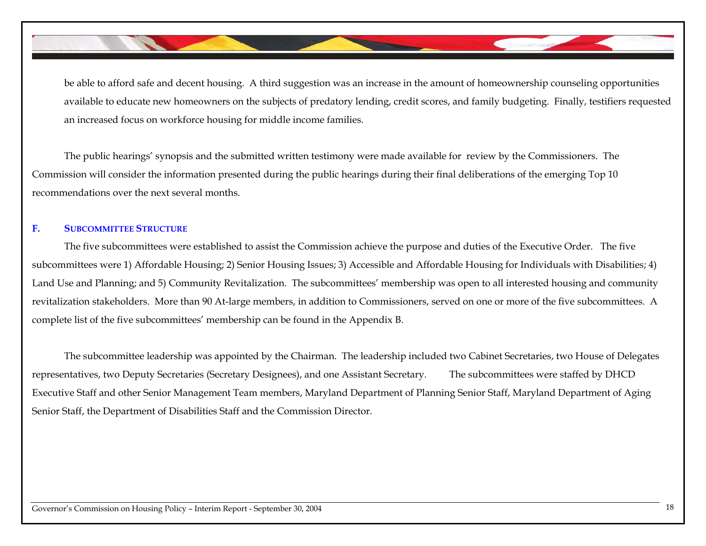be able to afford safe and decent housing. A third suggestion was an increase in the amount of homeownership counseling opportunities available to educate new homeowners on the subjects of predatory lending, credit scores, and family budgeting. Finally, testifiers requested an increased focus on workforce housing for middle income families.

 The public hearings' synopsis and the submitted written testimony were made available for review by the Commissioners. The Commission will consider the information presented during the public hearings during their final deliberations of the emerging Top 10 recommendations over the next several months.

## **F. SUBCOMMITTEE STRUCTURE**

 The five subcommittees were established to assist the Commission achieve the purpose and duties of the Executive Order. The five subcommittees were 1) Affordable Housing; 2) Senior Housing Issues; 3) Accessible and Affordable Housing for Individuals with Disabilities; 4) Land Use and Planning; and 5) Community Revitalization. The subcommittees' membership was open to all interested housing and community revitalization stakeholders. More than 90 At-large members, in addition to Commissioners, served on one or more of the five subcommittees. A complete list of the five subcommittees' membership can be found in the Appendix B.

 The subcommittee leadership was appointed by the Chairman. The leadership included two Cabinet Secretaries, two House of Delegates representatives, two Deputy Secretaries (Secretary Designees), and one Assistant Secretary. The subcommittees were staffed by DHCD Executive Staff and other Senior Management Team members, Maryland Department of Planning Senior Staff, Maryland Department of Aging Senior Staff, the Department of Disabilities Staff and the Commission Director.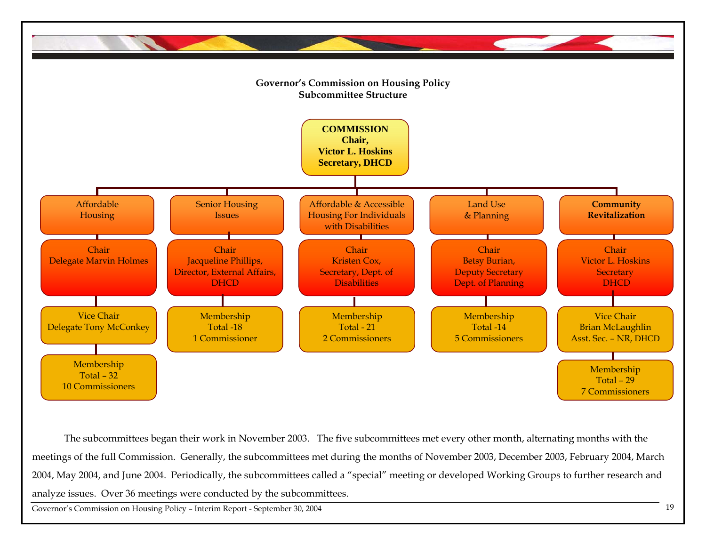

The subcommittees began their work in November 2003. The five subcommittees met every other month, alternating months with the meetings of the full Commission. Generally, the subcommittees met during the months of November 2003, December 2003, February 2004, March 2004, May 2004, and June 2004. Periodically, the subcommittees called a "special" meeting or developed Working Groups to further research and analyze issues. Over 36 meetings were conducted by the subcommittees.

Governor's Commission on Housing Policy – Interim Report - September 30, 2004 <sup>19</sup>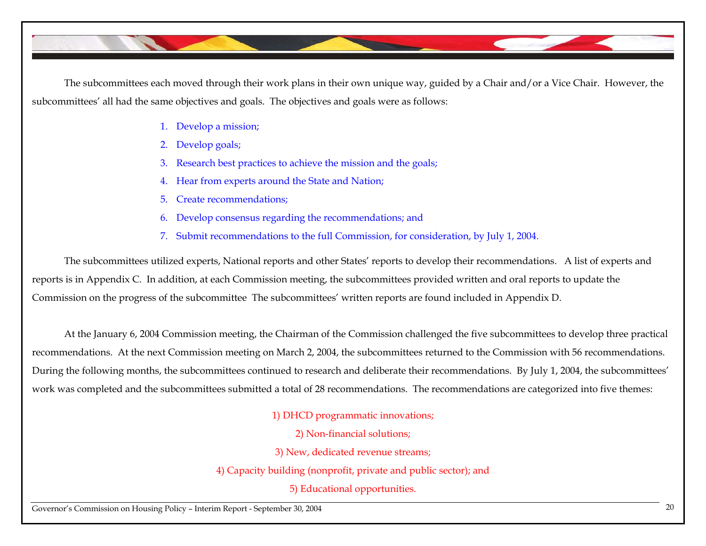

The subcommittees each moved through their work plans in their own unique way, guided by a Chair and/or a Vice Chair. However, the subcommittees' all had the same objectives and goals. The objectives and goals were as follows:

- 1. Develop a mission;
- 2.Develop goals;
- 3. Research best practices to achieve the mission and the goals;
- 4. Hear from experts around the State and Nation;
- 5. Create recommendations;
- 6. Develop consensus regarding the recommendations; and
- 7. Submit recommendations to the full Commission, for consideration, by July 1, 2004.

The subcommittees utilized experts, National reports and other States' reports to develop their recommendations. A list of experts and reports is in Appendix C. In addition, at each Commission meeting, the subcommittees provided written and oral reports to update the Commission on the progress of the subcommittee The subcommittees' written reports are found included in Appendix D.

At the January 6, 2004 Commission meeting, the Chairman of the Commission challenged the five subcommittees to develop three practical recommendations. At the next Commission meeting on March 2, 2004, the subcommittees returned to the Commission with 56 recommendations. During the following months, the subcommittees continued to research and deliberate their recommendations. By July 1, 2004, the subcommittees' work was completed and the subcommittees submitted a total of 28 recommendations. The recommendations are categorized into five themes:

1) DHCD programmatic innovations;

2) Non-financial solutions;

3) New, dedicated revenue streams;

4) Capacity building (nonprofit, private and public sector); and

5) Educational opportunities.

Governor's Commission on Housing Policy – Interim Report - September 30, 2004 <sup>20</sup>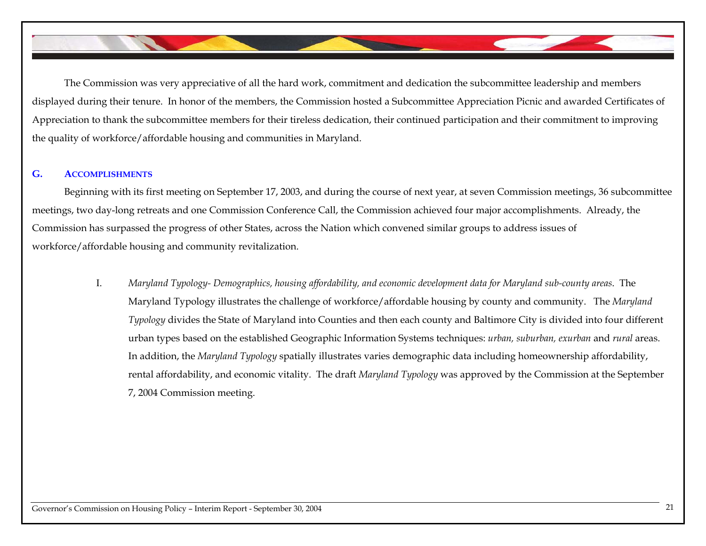The Commission was very appreciative of all the hard work, commitment and dedication the subcommittee leadership and members displayed during their tenure. In honor of the members, the Commission hosted a Subcommittee Appreciation Picnic and awarded Certificates of Appreciation to thank the subcommittee members for their tireless dedication, their continued participation and their commitment to improving the quality of workforce/affordable housing and communities in Maryland.

### **G. ACCOMPLISHMENTS**

Beginning with its first meeting on September 17, 2003, and during the course of next year, at seven Commission meetings, 36 subcommittee meetings, two day-long retreats and one Commission Conference Call, the Commission achieved four major accomplishments. Already, the Commission has surpassed the progress of other States, across the Nation which convened similar groups to address issues of workforce/affordable housing and community revitalization.

I. *Maryland Typology- Demographics, housing affordability, and economic development data for Maryland sub-county areas*. The Maryland Typology illustrates the challenge of workforce/affordable housing by county and community. The *Maryland Typology* divides the State of Maryland into Counties and then each county and Baltimore City is divided into four different urban types based on the established Geographic Information Systems techniques: *urban, suburban, exurban* and *rural* areas. In addition, the *Maryland Typology* spatially illustrates varies demographic data including homeownership affordability, rental affordability, and economic vitality. The draft *Maryland Typology* was approved by the Commission at the September 7, 2004 Commission meeting.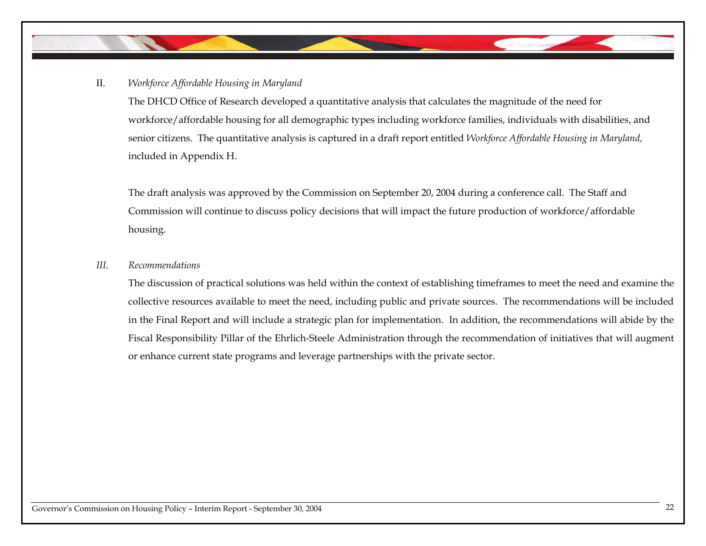## II. *Workforce Affordable Housing in Maryland*

The DHCD Office of Research developed a quantitative analysis that calculates the magnitude of the need for workforce/affordable housing for all demographic types including workforce families, individuals with disabilities, and senior citizens. The quantitative analysis is captured in a draft report entitled *Workforce Affordable Housing in Maryland,*  included in Appendix H.

The draft analysis was approved by the Commission on September 20, 2004 during a conference call. The Staff and Commission will continue to discuss policy decisions that will impact the future production of workforce/affordable housing.

## *III. Recommendations*

The discussion of practical solutions was held within the context of establishing timeframes to meet the need and examine the collective resources available to meet the need, including public and private sources. The recommendations will be included in the Final Report and will include a strategic plan for implementation. In addition, the recommendations will abide by the Fiscal Responsibility Pillar of the Ehrlich-Steele Administration through the recommendation of initiatives that will augment or enhance current state programs and leverage partnerships with the private sector.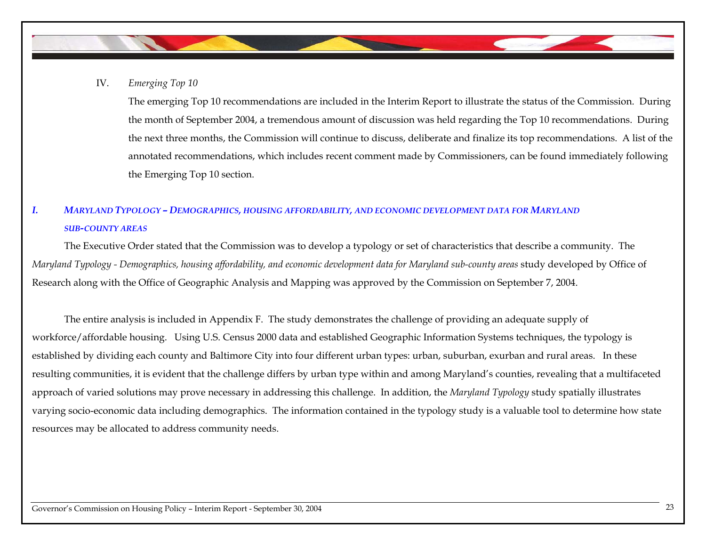IV. *Emerging Top 10* 

The emerging Top 10 recommendations are included in the Interim Report to illustrate the status of the Commission. During the month of September 2004, a tremendous amount of discussion was held regarding the Top 10 recommendations. During the next three months, the Commission will continue to discuss, deliberate and finalize its top recommendations. A list of the annotated recommendations, which includes recent comment made by Commissioners, can be found immediately following the Emerging Top 10 section.

# *I. MARYLAND TYPOLOGY – DEMOGRAPHICS, HOUSING AFFORDABILITY, AND ECONOMIC DEVELOPMENT DATA FOR MARYLAND SUB-COUNTY AREAS*

The Executive Order stated that the Commission was to develop a typology or set of characteristics that describe a community. The *Maryland Typology - Demographics, housing affordability, and economic development data for Maryland sub-county areas* study developed by Office of Research along with the Office of Geographic Analysis and Mapping was approved by the Commission on September 7, 2004.

The entire analysis is included in Appendix F. The study demonstrates the challenge of providing an adequate supply of workforce/affordable housing. Using U.S. Census 2000 data and established Geographic Information Systems techniques, the typology is established by dividing each county and Baltimore City into four different urban types: urban, suburban, exurban and rural areas. In these resulting communities, it is evident that the challenge differs by urban type within and among Maryland's counties, revealing that a multifaceted approach of varied solutions may prove necessary in addressing this challenge. In addition, the *Maryland Typology* study spatially illustrates varying socio-economic data including demographics. The information contained in the typology study is a valuable tool to determine how state resources may be allocated to address community needs.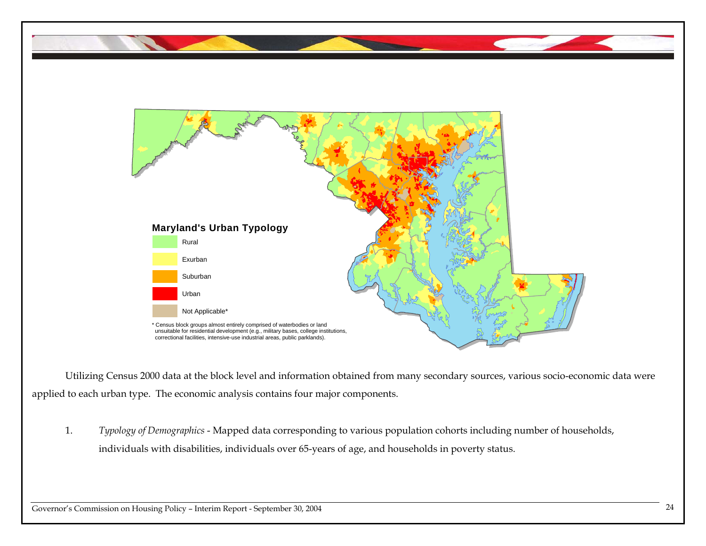

Utilizing Census 2000 data at the block level and information obtained from many secondary sources, various socio-economic data were applied to each urban type. The economic analysis contains four major components.

1. *Typology of Demographics* - Mapped data corresponding to various population cohorts including number of households, individuals with disabilities, individuals over 65-years of age, and households in poverty status.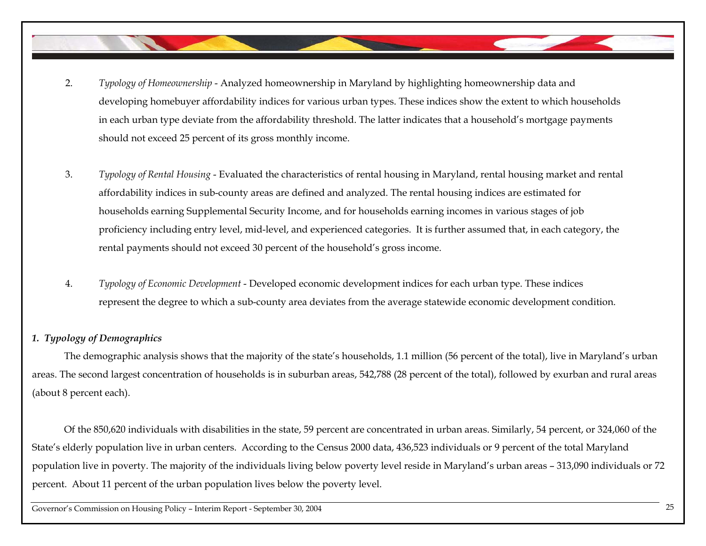- 2. *Typology of Homeownership* - Analyzed homeownership in Maryland by highlighting homeownership data and developing homebuyer affordability indices for various urban types. These indices show the extent to which households in each urban type deviate from the affordability threshold. The latter indicates that a household's mortgage payments should not exceed 25 percent of its gross monthly income.
- 3. *Typology of Rental Housing* - Evaluated the characteristics of rental housing in Maryland, rental housing market and rental affordability indices in sub-county areas are defined and analyzed. The rental housing indices are estimated for households earning Supplemental Security Income, and for households earning incomes in various stages of job proficiency including entry level, mid-level, and experienced categories. It is further assumed that, in each category, the rental payments should not exceed 30 percent of the household's gross income.
- 4. *Typology of Economic Development* - Developed economic development indices for each urban type. These indices represent the degree to which a sub-county area deviates from the average statewide economic development condition.

## *1. Typology of Demographics*

The demographic analysis shows that the majority of the state's households, 1.1 million (56 percent of the total), live in Maryland's urban areas. The second largest concentration of households is in suburban areas, 542,788 (28 percent of the total), followed by exurban and rural areas (about 8 percent each).

Of the 850,620 individuals with disabilities in the state, 59 percent are concentrated in urban areas. Similarly, 54 percent, or 324,060 of the State's elderly population live in urban centers. According to the Census 2000 data, 436,523 individuals or 9 percent of the total Maryland population live in poverty. The majority of the individuals living below poverty level reside in Maryland's urban areas – 313,090 individuals or 72 percent. About 11 percent of the urban population lives below the poverty level.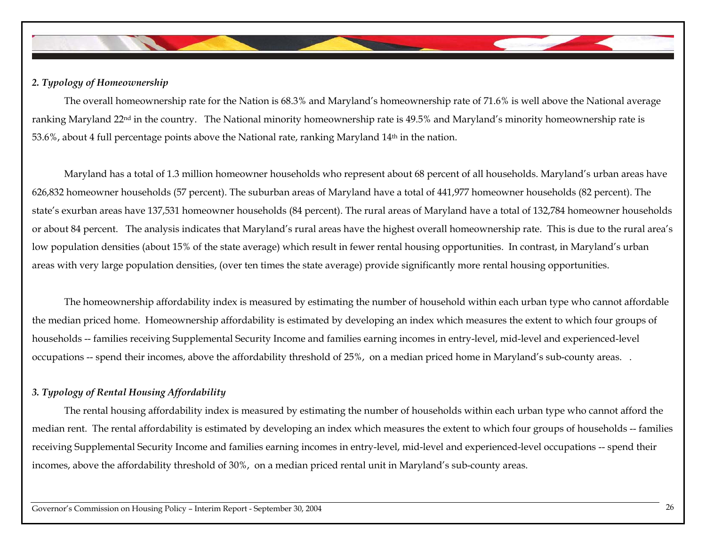

## *2. Typology of Homeownership*

The overall homeownership rate for the Nation is 68.3% and Maryland's homeownership rate of 71.6% is well above the National average ranking Maryland 22nd in the country. The National minority homeownership rate is 49.5% and Maryland's minority homeownership rate is 53.6%, about 4 full percentage points above the National rate, ranking Maryland 14th in the nation.

Maryland has a total of 1.3 million homeowner households who represent about 68 percent of all households. Maryland's urban areas have 626,832 homeowner households (57 percent). The suburban areas of Maryland have a total of 441,977 homeowner households (82 percent). The state's exurban areas have 137,531 homeowner households (84 percent). The rural areas of Maryland have a total of 132,784 homeowner households or about 84 percent. The analysis indicates that Maryland's rural areas have the highest overall homeownership rate. This is due to the rural area's low population densities (about 15% of the state average) which result in fewer rental housing opportunities. In contrast, in Maryland's urban areas with very large population densities, (over ten times the state average) provide significantly more rental housing opportunities.

 The homeownership affordability index is measured by estimating the number of household within each urban type who cannot affordable the median priced home. Homeownership affordability is estimated by developing an index which measures the extent to which four groups of households -- families receiving Supplemental Security Income and families earning incomes in entry-level, mid-level and experienced-level occupations -- spend their incomes, above the affordability threshold of 25%, on a median priced home in Maryland's sub-county areas. .

## *3. Typology of Rental Housing Affordability*

The rental housing affordability index is measured by estimating the number of households within each urban type who cannot afford the median rent. The rental affordability is estimated by developing an index which measures the extent to which four groups of households -- families receiving Supplemental Security Income and families earning incomes in entry-level, mid-level and experienced-level occupations -- spend their incomes, above the affordability threshold of 30%, on a median priced rental unit in Maryland's sub-county areas.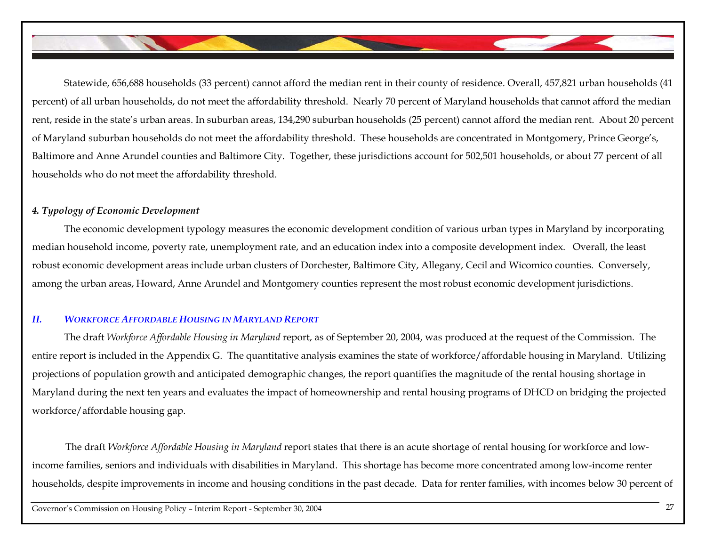Statewide, 656,688 households (33 percent) cannot afford the median rent in their county of residence. Overall, 457,821 urban households (41 percent) of all urban households, do not meet the affordability threshold. Nearly 70 percent of Maryland households that cannot afford the median rent, reside in the state's urban areas. In suburban areas, 134,290 suburban households (25 percent) cannot afford the median rent. About 20 percent of Maryland suburban households do not meet the affordability threshold. These households are concentrated in Montgomery, Prince George's, Baltimore and Anne Arundel counties and Baltimore City. Together, these jurisdictions account for 502,501 households, or about 77 percent of all households who do not meet the affordability threshold.

## *4. Typology of Economic Development*

The economic development typology measures the economic development condition of various urban types in Maryland by incorporating median household income, poverty rate, unemployment rate, and an education index into a composite development index. Overall, the least robust economic development areas include urban clusters of Dorchester, Baltimore City, Allegany, Cecil and Wicomico counties. Conversely, among the urban areas, Howard, Anne Arundel and Montgomery counties represent the most robust economic development jurisdictions.

## *II. WORKFORCE AFFORDABLE HOUSING IN MARYLAND REPORT*

The draft *Workforce Affordable Housing in Maryland* report, as of September 20, 2004, was produced at the request of the Commission. The entire report is included in the Appendix G. The quantitative analysis examines the state of workforce/affordable housing in Maryland. Utilizing projections of population growth and anticipated demographic changes, the report quantifies the magnitude of the rental housing shortage in Maryland during the next ten years and evaluates the impact of homeownership and rental housing programs of DHCD on bridging the projected workforce/affordable housing gap.

The draft *Workforce Affordable Housing in Maryland* report states that there is an acute shortage of rental housing for workforce and lowincome families, seniors and individuals with disabilities in Maryland. This shortage has become more concentrated among low-income renter households, despite improvements in income and housing conditions in the past decade. Data for renter families, with incomes below 30 percent of

Governor's Commission on Housing Policy – Interim Report - September 30, 2004 <sup>27</sup>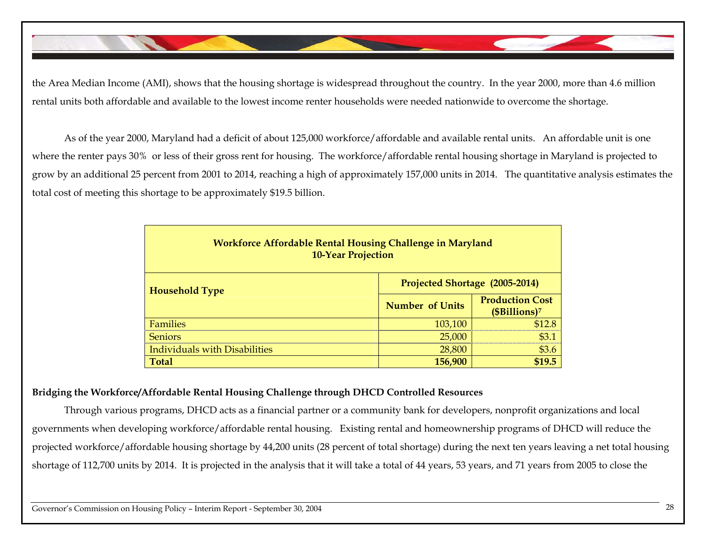the Area Median Income (AMI), shows that the housing shortage is widespread throughout the country. In the year 2000, more than 4.6 million rental units both affordable and available to the lowest income renter households were needed nationwide to overcome the shortage.

As of the year 2000, Maryland had a deficit of about 125,000 workforce/affordable and available rental units. An affordable unit is one where the renter pays 30% or less of their gross rent for housing. The workforce/affordable rental housing shortage in Maryland is projected to grow by an additional 25 percent from 2001 to 2014, reaching a high of approximately 157,000 units in 2014. The quantitative analysis estimates the total cost of meeting this shortage to be approximately \$19.5 billion.

| <b>Workforce Affordable Rental Housing Challenge in Maryland</b><br><b>10-Year Projection</b> |                                |                                                     |  |  |  |  |
|-----------------------------------------------------------------------------------------------|--------------------------------|-----------------------------------------------------|--|--|--|--|
| <b>Household Type</b>                                                                         | Projected Shortage (2005-2014) |                                                     |  |  |  |  |
|                                                                                               | <b>Number of Units</b>         | <b>Production Cost</b><br>(\$Billions) <sup>7</sup> |  |  |  |  |
| <b>Families</b>                                                                               | 103,100                        | \$128                                               |  |  |  |  |
| <b>Seniors</b>                                                                                | 25,000                         | \$3.1                                               |  |  |  |  |
| <b>Individuals with Disabilities</b>                                                          | 28,800                         | \$3.6                                               |  |  |  |  |
| <b>Total</b>                                                                                  | 156,900                        | \$19.5                                              |  |  |  |  |

## **Bridging the Workforce/Affordable Rental Housing Challenge through DHCD Controlled Resources**

Through various programs, DHCD acts as a financial partner or a community bank for developers, nonprofit organizations and local governments when developing workforce/affordable rental housing. Existing rental and homeownership programs of DHCD will reduce the projected workforce/affordable housing shortage by 44,200 units (28 percent of total shortage) during the next ten years leaving a net total housing shortage of 112,700 units by 2014. It is projected in the analysis that it will take a total of 44 years, 53 years, and 71 years from 2005 to close the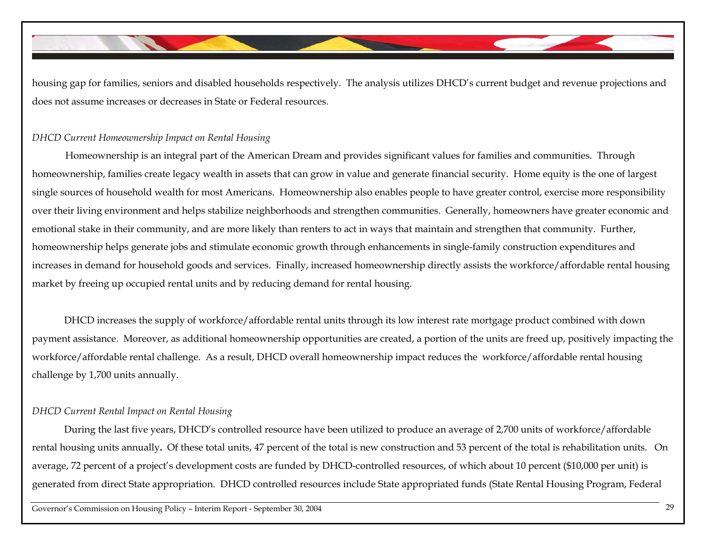housing gap for families, seniors and disabled households respectively. The analysis utilizes DHCD's current budget and revenue projections and does not assume increases or decreases in State or Federal resources.

## *DHCD Current Homeownership Impact on Rental Housing*

 Homeownership is an integral part of the American Dream and provides significant values for families and communities. Through homeownership, families create legacy wealth in assets that can grow in value and generate financial security. Home equity is the one of largest single sources of household wealth for most Americans. Homeownership also enables people to have greater control, exercise more responsibility over their living environment and helps stabilize neighborhoods and strengthen communities. Generally, homeowners have greater economic and emotional stake in their community, and are more likely than renters to act in ways that maintain and strengthen that community. Further, homeownership helps generate jobs and stimulate economic growth through enhancements in single-family construction expenditures and increases in demand for household goods and services. Finally, increased homeownership directly assists the workforce/affordable rental housing market by freeing up occupied rental units and by reducing demand for rental housing.

DHCD increases the supply of workforce/affordable rental units through its low interest rate mortgage product combined with down payment assistance. Moreover, as additional homeownership opportunities are created, a portion of the units are freed up, positively impacting the workforce/affordable rental challenge. As a result, DHCD overall homeownership impact reduces the workforce/affordable rental housing challenge by 1,700 units annually.

## *DHCD Current Rental Impact on Rental Housing*

During the last five years, DHCD's controlled resource have been utilized to produce an average of 2,700 units of workforce/affordable rental housing units annually**.** Of these total units, 47 percent of the total is new construction and 53 percent of the total is rehabilitation units. On average, 72 percent of a project's development costs are funded by DHCD-controlled resources, of which about 10 percent (\$10,000 per unit) is generated from direct State appropriation. DHCD controlled resources include State appropriated funds (State Rental Housing Program, Federal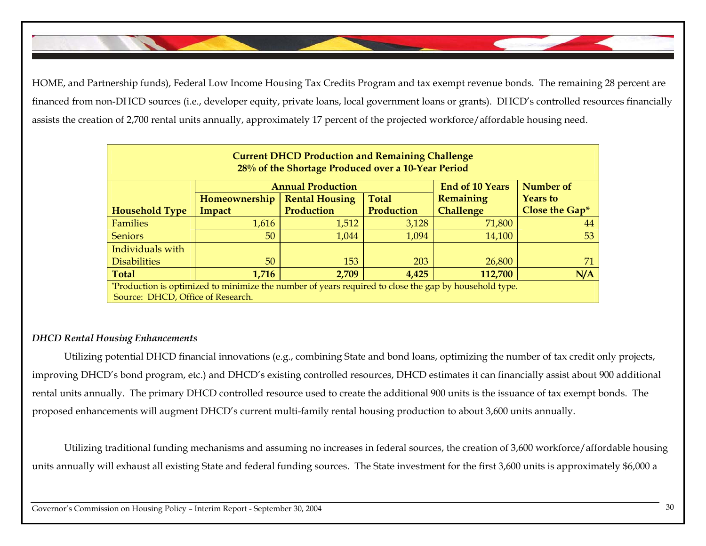HOME, and Partnership funds), Federal Low Income Housing Tax Credits Program and tax exempt revenue bonds. The remaining 28 percent are financed from non-DHCD sources (i.e., developer equity, private loans, local government loans or grants). DHCD's controlled resources financially assists the creation of 2,700 rental units annually, approximately 17 percent of the projected workforce/affordable housing need.

| <b>Current DHCD Production and Remaining Challenge</b><br>28% of the Shortage Produced over a 10-Year Period |                                                                 |                       |              |                  |                 |  |  |  |  |  |
|--------------------------------------------------------------------------------------------------------------|-----------------------------------------------------------------|-----------------------|--------------|------------------|-----------------|--|--|--|--|--|
|                                                                                                              | <b>End of 10 Years</b><br>Number of<br><b>Annual Production</b> |                       |              |                  |                 |  |  |  |  |  |
|                                                                                                              | Homeownership                                                   | <b>Rental Housing</b> | <b>Total</b> | Remaining        | <b>Years</b> to |  |  |  |  |  |
| <b>Household Type</b>                                                                                        | Impact                                                          | Production            | Production   | <b>Challenge</b> | Close the Gap*  |  |  |  |  |  |
| <b>Families</b>                                                                                              | 1,616                                                           | 1,512                 | 3,128        | 71,800           | 44              |  |  |  |  |  |
| <b>Seniors</b>                                                                                               | 50 <sup>°</sup>                                                 | 1,044                 | 1,094        | 14,100           | 53              |  |  |  |  |  |
| Individuals with                                                                                             |                                                                 |                       |              |                  |                 |  |  |  |  |  |
| <b>Disabilities</b>                                                                                          | 50                                                              | 153                   | 203          | 26,800           |                 |  |  |  |  |  |
| <b>Total</b>                                                                                                 | 1,716                                                           | 2,709                 | 4,425        | 112,700          | N/A             |  |  |  |  |  |
| *Production is optimized to minimize the number of years required to close the gap by household type.        |                                                                 |                       |              |                  |                 |  |  |  |  |  |
| Source: DHCD, Office of Research.                                                                            |                                                                 |                       |              |                  |                 |  |  |  |  |  |

## *DHCD Rental Housing Enhancements*

Utilizing potential DHCD financial innovations (e.g., combining State and bond loans, optimizing the number of tax credit only projects, improving DHCD's bond program, etc.) and DHCD's existing controlled resources, DHCD estimates it can financially assist about 900 additional rental units annually. The primary DHCD controlled resource used to create the additional 900 units is the issuance of tax exempt bonds. The proposed enhancements will augment DHCD's current multi-family rental housing production to about 3,600 units annually.

Utilizing traditional funding mechanisms and assuming no increases in federal sources, the creation of 3,600 workforce/affordable housing units annually will exhaust all existing State and federal funding sources. The State investment for the first 3,600 units is approximately \$6,000 a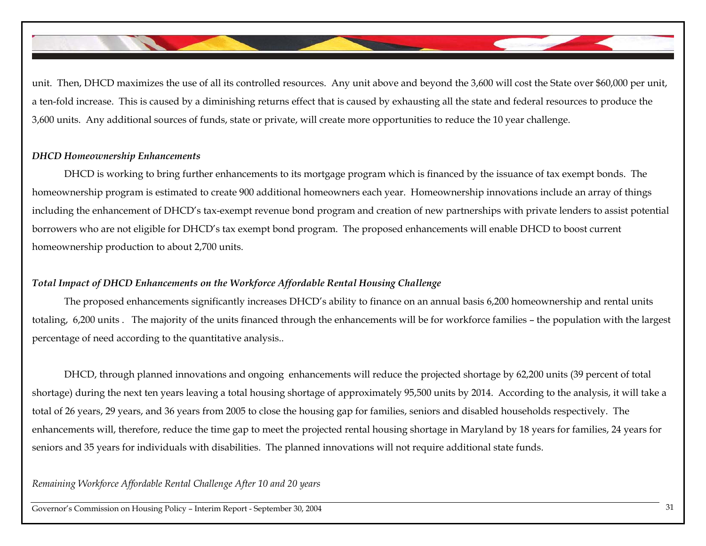unit. Then, DHCD maximizes the use of all its controlled resources. Any unit above and beyond the 3,600 will cost the State over \$60,000 per unit, a ten-fold increase. This is caused by a diminishing returns effect that is caused by exhausting all the state and federal resources to produce the 3,600 units. Any additional sources of funds, state or private, will create more opportunities to reduce the 10 year challenge.

## *DHCD Homeownership Enhancements*

DHCD is working to bring further enhancements to its mortgage program which is financed by the issuance of tax exempt bonds. The homeownership program is estimated to create 900 additional homeowners each year. Homeownership innovations include an array of things including the enhancement of DHCD's tax-exempt revenue bond program and creation of new partnerships with private lenders to assist potential borrowers who are not eligible for DHCD's tax exempt bond program. The proposed enhancements will enable DHCD to boost current homeownership production to about 2,700 units.

## *Total Impact of DHCD Enhancements on the Workforce Affordable Rental Housing Challenge*

The proposed enhancements significantly increases DHCD's ability to finance on an annual basis 6,200 homeownership and rental units totaling, 6,200 units . The majority of the units financed through the enhancements will be for workforce families – the population with the largest percentage of need according to the quantitative analysis..

DHCD, through planned innovations and ongoing enhancements will reduce the projected shortage by 62,200 units (39 percent of total shortage) during the next ten years leaving a total housing shortage of approximately 95,500 units by 2014. According to the analysis, it will take a total of 26 years, 29 years, and 36 years from 2005 to close the housing gap for families, seniors and disabled households respectively. The enhancements will, therefore, reduce the time gap to meet the projected rental housing shortage in Maryland by 18 years for families, 24 years for seniors and 35 years for individuals with disabilities. The planned innovations will not require additional state funds.

## *Remaining Workforce Affordable Rental Challenge After 10 and 20 years*

Governor's Commission on Housing Policy – Interim Report - September 30, 2004 <sup>31</sup>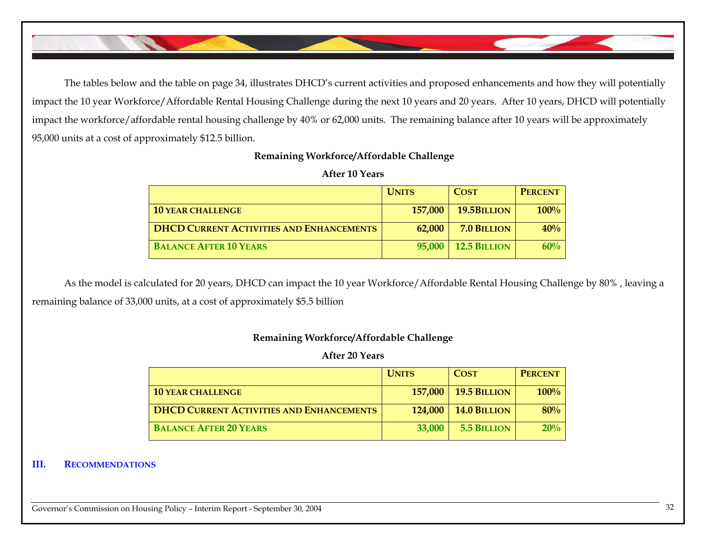The tables below and the table on page 34, illustrates DHCD's current activities and proposed enhancements and how they will potentially impact the 10 year Workforce/Affordable Rental Housing Challenge during the next 10 years and 20 years. After 10 years, DHCD will potentially impact the workforce/affordable rental housing challenge by 40% or 62,000 units. The remaining balance after 10 years will be approximately 95,000 units at a cost of approximately \$12.5 billion.

## **Remaining Workforce/Affordable Challenge**

## **After 10 Years**

|                                                 | <b>UNITS</b> | <b>COST</b>         | <b>PERCENT</b> |
|-------------------------------------------------|--------------|---------------------|----------------|
| <b>10 YEAR CHALLENGE</b>                        | 157,000      | 19.5BILLION         | 100%           |
| <b>DHCD CURRENT ACTIVITIES AND ENHANCEMENTS</b> | 62,000       | 7.0 BILLION         | 40%            |
| <b>BALANCE AFTER 10 YEARS</b>                   | 95,000       | <b>12.5 BILLION</b> | 60%            |

As the model is calculated for 20 years, DHCD can impact the 10 year Workforce/Affordable Rental Housing Challenge by 80% , leaving a remaining balance of 33,000 units, at a cost of approximately \$5.5 billion

## **Remaining Workforce/Affordable Challenge**

## **After 20 Years**

|                                                 | <b>UNITS</b> | <b>COST</b>         | <b>PERCENT</b> |
|-------------------------------------------------|--------------|---------------------|----------------|
| <b>10 YEAR CHALLENGE</b>                        | 157,000      | <b>19.5 BILLION</b> | 100%           |
| <b>DHCD CURRENT ACTIVITIES AND ENHANCEMENTS</b> | 124,000      | <b>14.0 BILLION</b> | 80%            |
| <b>BALANCE AFTER 20 YEARS</b>                   | 33,000       | 5.5 BILLION         | 20%            |

### **III. RECOMMENDATIONS**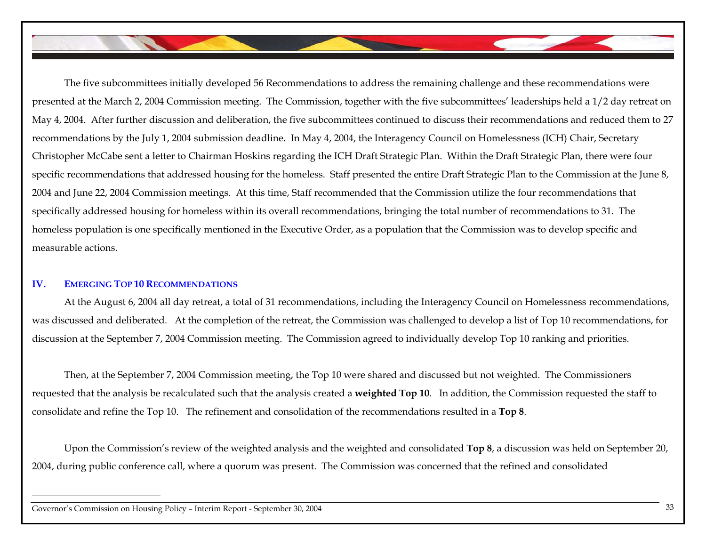The five subcommittees initially developed 56 Recommendations to address the remaining challenge and these recommendations were presented at the March 2, 2004 Commission meeting. The Commission, together with the five subcommittees' leaderships held a 1/2 day retreat on May 4, 2004. After further discussion and deliberation, the five subcommittees continued to discuss their recommendations and reduced them to 27 recommendations by the July 1, 2004 submission deadline. In May 4, 2004, the Interagency Council on Homelessness (ICH) Chair, Secretary Christopher McCabe sent a letter to Chairman Hoskins regarding the ICH Draft Strategic Plan. Within the Draft Strategic Plan, there were four specific recommendations that addressed housing for the homeless. Staff presented the entire Draft Strategic Plan to the Commission at the June 8, 2004 and June 22, 2004 Commission meetings. At this time, Staff recommended that the Commission utilize the four recommendations that specifically addressed housing for homeless within its overall recommendations, bringing the total number of recommendations to 31. The homeless population is one specifically mentioned in the Executive Order, as a population that the Commission was to develop specific and measurable actions.

### **IV. EMERGING TOP 10 RECOMMENDATIONS**

At the August 6, 2004 all day retreat, a total of 31 recommendations, including the Interagency Council on Homelessness recommendations, was discussed and deliberated. At the completion of the retreat, the Commission was challenged to develop a list of Top 10 recommendations, for discussion at the September 7, 2004 Commission meeting. The Commission agreed to individually develop Top 10 ranking and priorities.

Then, at the September 7, 2004 Commission meeting, the Top 10 were shared and discussed but not weighted. The Commissioners requested that the analysis be recalculated such that the analysis created a **weighted Top 10**. In addition, the Commission requested the staff to consolidate and refine the Top 10. The refinement and consolidation of the recommendations resulted in a **Top 8**.

Upon the Commission's review of the weighted analysis and the weighted and consolidated **Top 8**, a discussion was held on September 20, 2004, during public conference call, where a quorum was present. The Commission was concerned that the refined and consolidated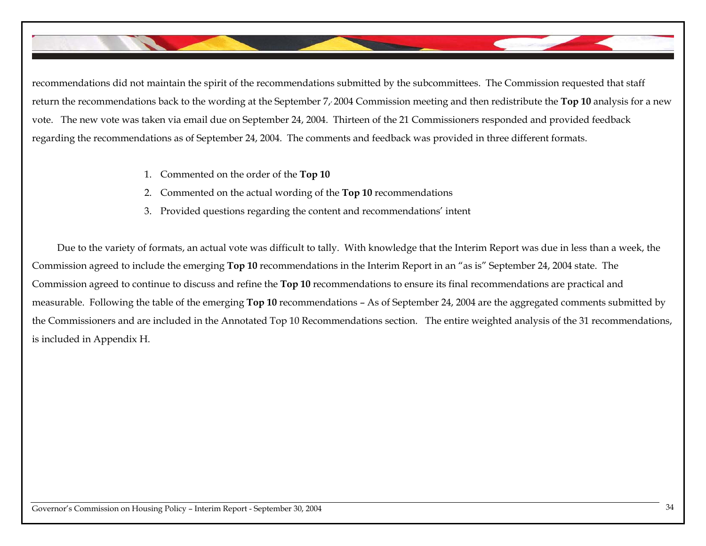recommendations did not maintain the spirit of the recommendations submitted by the subcommittees. The Commission requested that staff return the recommendations back to the wording at the September 7,, 2004 Commission meeting and then redistribute the **Top 10** analysis for a new vote. The new vote was taken via email due on September 24, 2004. Thirteen of the 21 Commissioners responded and provided feedback regarding the recommendations as of September 24, 2004. The comments and feedback was provided in three different formats.

- 1. Commented on the order of the **Top 10**
- 2. Commented on the actual wording of the **Top 10** recommendations
- 3. Provided questions regarding the content and recommendations' intent

Due to the variety of formats, an actual vote was difficult to tally. With knowledge that the Interim Report was due in less than a week, the Commission agreed to include the emerging **Top 10** recommendations in the Interim Report in an "as is" September 24, 2004 state. The Commission agreed to continue to discuss and refine the **Top 10** recommendations to ensure its final recommendations are practical and measurable. Following the table of the emerging **Top 10** recommendations – As of September 24, 2004 are the aggregated comments submitted by the Commissioners and are included in the Annotated Top 10 Recommendations section. The entire weighted analysis of the 31 recommendations, is included in Appendix H.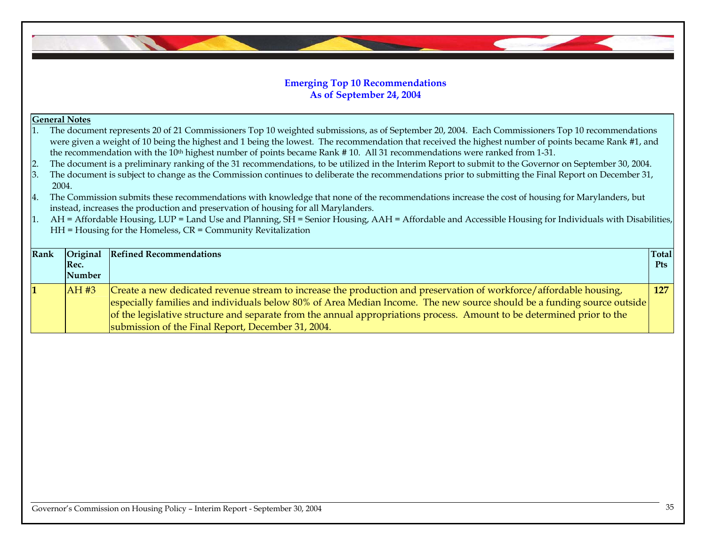## **Emerging Top 10 Recommendations As of September 24, 2004**

## **General Notes**

| The document represents 20 of 21 Commissioners Top 10 weighted submissions, as of September 20, 2004. Each Commissioners Top 10 recommendations       |
|-------------------------------------------------------------------------------------------------------------------------------------------------------|
| were given a weight of 10 being the highest and 1 being the lowest. The recommendation that received the highest number of points became Rank #1, and |
| the recommendation with the $10th$ highest number of points became Rank #10. All 31 recommendations were ranked from 1-31.                            |

- 2. The document is a preliminary ranking of the 31 recommendations, to be utilized in the Interim Report to submit to the Governor on September 30, 2004.
- 3. The document is subject to change as the Commission continues to deliberate the recommendations prior to submitting the Final Report on December 31, 2004.
- 4. The Commission submits these recommendations with knowledge that none of the recommendations increase the cost of housing for Marylanders, but instead, increases the production and preservation of housing for all Marylanders.
- 1. AH = Affordable Housing, LUP = Land Use and Planning,  $\overline{SH}$  = Senior Housing, AAH = Affordable and Accessible Housing for Individuals with Disabilities, HH = Housing for the Homeless, CR = Community Revitalization

| <b>Rank</b> | Original<br>Rec.<br>Number | <b>Refined Recommendations</b>                                                                                                                                                                                                                                                                                                                                                                                               | <b>Total</b><br><b>Pts</b> |
|-------------|----------------------------|------------------------------------------------------------------------------------------------------------------------------------------------------------------------------------------------------------------------------------------------------------------------------------------------------------------------------------------------------------------------------------------------------------------------------|----------------------------|
|             | AH#3                       | Create a new dedicated revenue stream to increase the production and preservation of workforce/affordable housing,<br>especially families and individuals below 80% of Area Median Income. The new source should be a funding source outside<br>of the legislative structure and separate from the annual appropriations process. Amount to be determined prior to the<br>submission of the Final Report, December 31, 2004. | 127                        |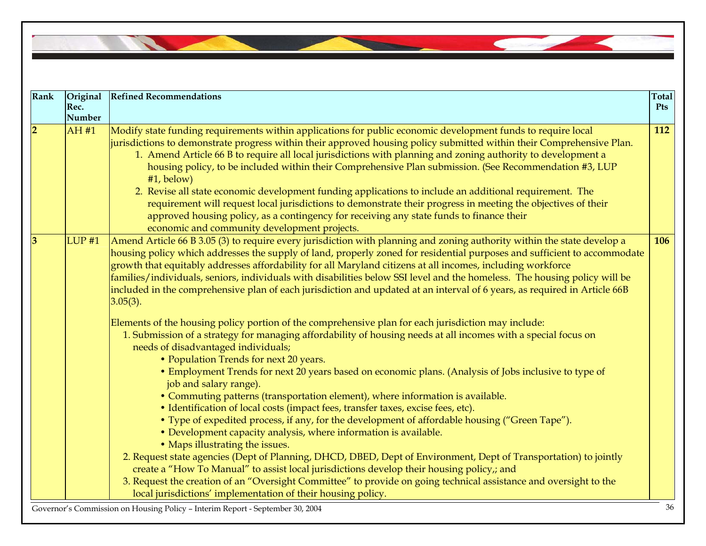| Rank             | Original<br>Rec.  | <b>Refined Recommendations</b>                                                                                                                                                                                                                                                                                                                                                                                                                                                                                                                                                                                                                                                                                                                                                                                                                           | <b>Total</b><br>Pts |
|------------------|-------------------|----------------------------------------------------------------------------------------------------------------------------------------------------------------------------------------------------------------------------------------------------------------------------------------------------------------------------------------------------------------------------------------------------------------------------------------------------------------------------------------------------------------------------------------------------------------------------------------------------------------------------------------------------------------------------------------------------------------------------------------------------------------------------------------------------------------------------------------------------------|---------------------|
|                  | <b>Number</b>     |                                                                                                                                                                                                                                                                                                                                                                                                                                                                                                                                                                                                                                                                                                                                                                                                                                                          |                     |
| $\overline{2}$   | AH#1              | Modify state funding requirements within applications for public economic development funds to require local<br>jurisdictions to demonstrate progress within their approved housing policy submitted within their Comprehensive Plan.<br>1. Amend Article 66 B to require all local jurisdictions with planning and zoning authority to development a<br>housing policy, to be included within their Comprehensive Plan submission. (See Recommendation #3, LUP<br>$#1$ , below)<br>2. Revise all state economic development funding applications to include an additional requirement. The<br>requirement will request local jurisdictions to demonstrate their progress in meeting the objectives of their<br>approved housing policy, as a contingency for receiving any state funds to finance their<br>economic and community development projects. | 112                 |
| $\boldsymbol{3}$ | LUP <sub>#1</sub> | Amend Article 66 B 3.05 (3) to require every jurisdiction with planning and zoning authority within the state develop a<br>housing policy which addresses the supply of land, properly zoned for residential purposes and sufficient to accommodate<br>growth that equitably addresses affordability for all Maryland citizens at all incomes, including workforce<br>families/individuals, seniors, individuals with disabilities below SSI level and the homeless. The housing policy will be<br>included in the comprehensive plan of each jurisdiction and updated at an interval of 6 years, as required in Article 66B<br>$3.05(3)$ .                                                                                                                                                                                                              | 106                 |
|                  |                   | Elements of the housing policy portion of the comprehensive plan for each jurisdiction may include:<br>1. Submission of a strategy for managing affordability of housing needs at all incomes with a special focus on<br>needs of disadvantaged individuals;<br>• Population Trends for next 20 years.                                                                                                                                                                                                                                                                                                                                                                                                                                                                                                                                                   |                     |
|                  |                   | • Employment Trends for next 20 years based on economic plans. (Analysis of Jobs inclusive to type of<br>job and salary range).                                                                                                                                                                                                                                                                                                                                                                                                                                                                                                                                                                                                                                                                                                                          |                     |
|                  |                   | • Commuting patterns (transportation element), where information is available.<br>• Identification of local costs (impact fees, transfer taxes, excise fees, etc).                                                                                                                                                                                                                                                                                                                                                                                                                                                                                                                                                                                                                                                                                       |                     |
|                  |                   | • Type of expedited process, if any, for the development of affordable housing ("Green Tape").<br>• Development capacity analysis, where information is available.                                                                                                                                                                                                                                                                                                                                                                                                                                                                                                                                                                                                                                                                                       |                     |
|                  |                   | • Maps illustrating the issues.<br>2. Request state agencies (Dept of Planning, DHCD, DBED, Dept of Environment, Dept of Transportation) to jointly                                                                                                                                                                                                                                                                                                                                                                                                                                                                                                                                                                                                                                                                                                      |                     |
|                  |                   | create a "How To Manual" to assist local jurisdictions develop their housing policy,; and                                                                                                                                                                                                                                                                                                                                                                                                                                                                                                                                                                                                                                                                                                                                                                |                     |
|                  |                   | 3. Request the creation of an "Oversight Committee" to provide on going technical assistance and oversight to the<br>local jurisdictions' implementation of their housing policy.                                                                                                                                                                                                                                                                                                                                                                                                                                                                                                                                                                                                                                                                        |                     |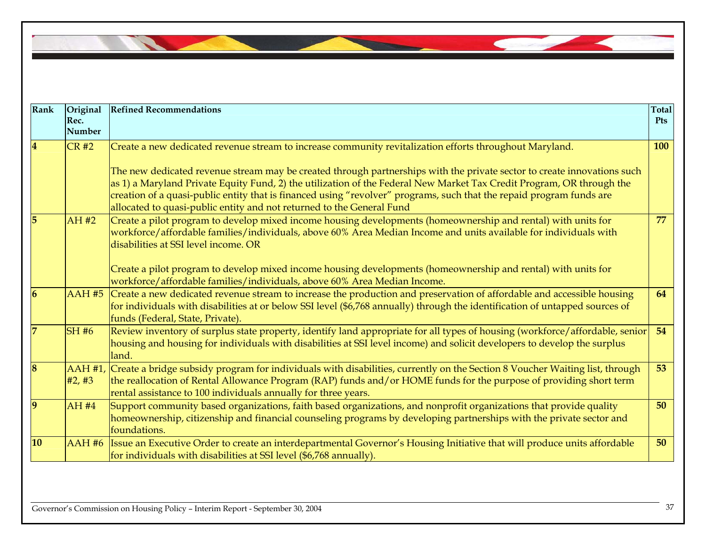

| Rank                    | Original<br>Rec.<br><b>Number</b> | <b>Refined Recommendations</b>                                                                                                                                                                                                                                                                                                                                                                                                                                                                                                                               | <b>Total</b><br><b>Pts</b> |
|-------------------------|-----------------------------------|--------------------------------------------------------------------------------------------------------------------------------------------------------------------------------------------------------------------------------------------------------------------------------------------------------------------------------------------------------------------------------------------------------------------------------------------------------------------------------------------------------------------------------------------------------------|----------------------------|
| $\overline{\mathbf{4}}$ | CR#2                              | Create a new dedicated revenue stream to increase community revitalization efforts throughout Maryland.<br>The new dedicated revenue stream may be created through partnerships with the private sector to create innovations such<br>as 1) a Maryland Private Equity Fund, 2) the utilization of the Federal New Market Tax Credit Program, OR through the<br>creation of a quasi-public entity that is financed using "revolver" programs, such that the repaid program funds are<br>allocated to quasi-public entity and not returned to the General Fund | 100                        |
| 5                       | AH#2                              | $ $ Create a pilot program to develop mixed income housing developments (homeownership and rental) with units for<br>workforce/affordable families/individuals, above 60% Area Median Income and units available for individuals with<br>disabilities at SSI level income. OR<br>Create a pilot program to develop mixed income housing developments (homeownership and rental) with units for<br>workforce/affordable families/individuals, above 60% Area Median Income.                                                                                   | 77                         |
| 6                       |                                   | AAH #5 Create a new dedicated revenue stream to increase the production and preservation of affordable and accessible housing<br>for individuals with disabilities at or below SSI level (\$6,768 annually) through the identification of untapped sources of<br>funds (Federal, State, Private).                                                                                                                                                                                                                                                            | 64                         |
|                         | <b>SH#6</b>                       | Review inventory of surplus state property, identify land appropriate for all types of housing (workforce/affordable, senior<br>housing and housing for individuals with disabilities at SSI level income) and solicit developers to develop the surplus<br>land.                                                                                                                                                                                                                                                                                            | 54                         |
| $\overline{\bf 8}$      | #2, #3                            | AAH #1, Create a bridge subsidy program for individuals with disabilities, currently on the Section 8 Voucher Waiting list, through<br>the reallocation of Rental Allowance Program (RAP) funds and/or HOME funds for the purpose of providing short term<br>rental assistance to 100 individuals annually for three years.                                                                                                                                                                                                                                  | 53                         |
| $\boldsymbol{9}$        | AH #4                             | Support community based organizations, faith based organizations, and nonprofit organizations that provide quality<br>homeownership, citizenship and financial counseling programs by developing partnerships with the private sector and<br>foundations.                                                                                                                                                                                                                                                                                                    | 50                         |
| 10                      |                                   | AAH #6 Issue an Executive Order to create an interdepartmental Governor's Housing Initiative that will produce units affordable<br>for individuals with disabilities at SSI level (\$6,768 annually).                                                                                                                                                                                                                                                                                                                                                        | 50                         |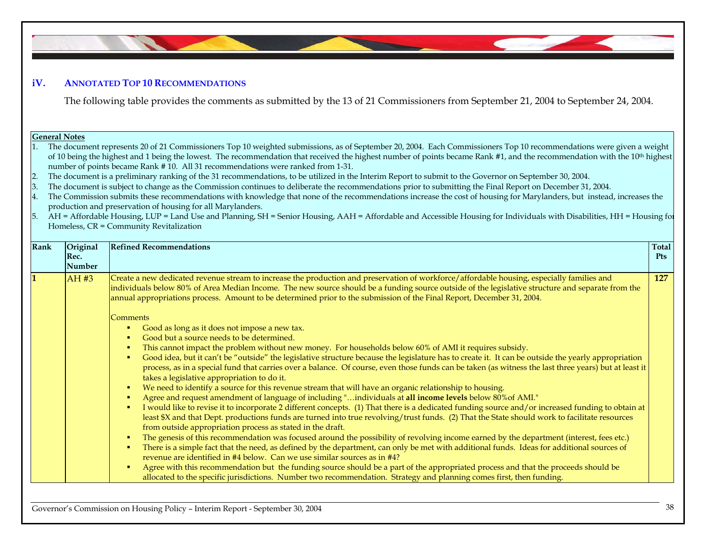## **iV. ANNOTATED TOP 10 RECOMMENDATIONS**

The following table provides the comments as submitted by the 13 of 21 Commissioners from September 21, 2004 to September 24, 2004.

#### **General Notes**

1. The document represents 20 of 21 Commissioners Top 10 weighted submissions, as of September 20, 2004. Each Commissioners Top 10 recommendations were given a weight of 10 being the highest and 1 being the lowest. The recommendation that received the highest number of points became Rank #1, and the recommendation with the 10<sup>th</sup> highest number of points became Rank # 10. All 31 recommendations were ranked from 1-31.

- 2.The document is a preliminary ranking of the 31 recommendations, to be utilized in the Interim Report to submit to the Governor on September 30, 2004.
- 3.The document is subject to change as the Commission continues to deliberate the recommendations prior to submitting the Final Report on December 31, 2004.
- 4. The Commission submits these recommendations with knowledge that none of the recommendations increase the cost of housing for Marylanders, but instead, increases the production and preservation of housing for all Marylanders.
- 5. AH = Affordable Housing, LUP = Land Use and Planning, SH = Senior Housing, AAH = Affordable and Accessible Housing for Individuals with Disabilities, HH = Housing for Homeless, CR = Community Revitalization

| Rank | Original<br>Rec.<br>Number | <b>Refined Recommendations</b>                                                                                                                                                                                                                                                                                                                                                                                            | <b>Total</b><br><b>Pts</b> |
|------|----------------------------|---------------------------------------------------------------------------------------------------------------------------------------------------------------------------------------------------------------------------------------------------------------------------------------------------------------------------------------------------------------------------------------------------------------------------|----------------------------|
|      | AH #3                      | Create a new dedicated revenue stream to increase the production and preservation of workforce/affordable housing, especially families and<br>individuals below 80% of Area Median Income. The new source should be a funding source outside of the legislative structure and separate from the<br>annual appropriations process. Amount to be determined prior to the submission of the Final Report, December 31, 2004. | 127                        |
|      |                            | Comments                                                                                                                                                                                                                                                                                                                                                                                                                  |                            |
|      |                            | Good as long as it does not impose a new tax.<br>Good but a source needs to be determined.                                                                                                                                                                                                                                                                                                                                |                            |
|      |                            | This cannot impact the problem without new money. For households below 60% of AMI it requires subsidy.<br>л                                                                                                                                                                                                                                                                                                               |                            |
|      |                            | Good idea, but it can't be "outside" the legislative structure because the legislature has to create it. It can be outside the yearly appropriation<br>л<br>process, as in a special fund that carries over a balance. Of course, even those funds can be taken (as witness the last three years) but at least it<br>takes a legislative appropriation to do it.                                                          |                            |
|      |                            | We need to identify a source for this revenue stream that will have an organic relationship to housing.<br>л                                                                                                                                                                                                                                                                                                              |                            |
|      |                            | Agree and request amendment of language of including "individuals at all income levels below 80% of AMI."<br>л                                                                                                                                                                                                                                                                                                            |                            |
|      |                            | I would like to revise it to incorporate 2 different concepts. (1) That there is a dedicated funding source and/or increased funding to obtain at<br>л<br>least \$X and that Dept. productions funds are turned into true revolving/trust funds. (2) That the State should work to facilitate resources<br>from outside appropriation process as stated in the draft.                                                     |                            |
|      |                            | The genesis of this recommendation was focused around the possibility of revolving income earned by the department (interest, fees etc.)<br>×                                                                                                                                                                                                                                                                             |                            |
|      |                            | There is a simple fact that the need, as defined by the department, can only be met with additional funds. Ideas for additional sources of<br>л<br>revenue are identified in #4 below. Can we use similar sources as in #4?                                                                                                                                                                                               |                            |
|      |                            | Agree with this recommendation but the funding source should be a part of the appropriated process and that the proceeds should be<br>л<br>allocated to the specific jurisdictions. Number two recommendation. Strategy and planning comes first, then funding.                                                                                                                                                           |                            |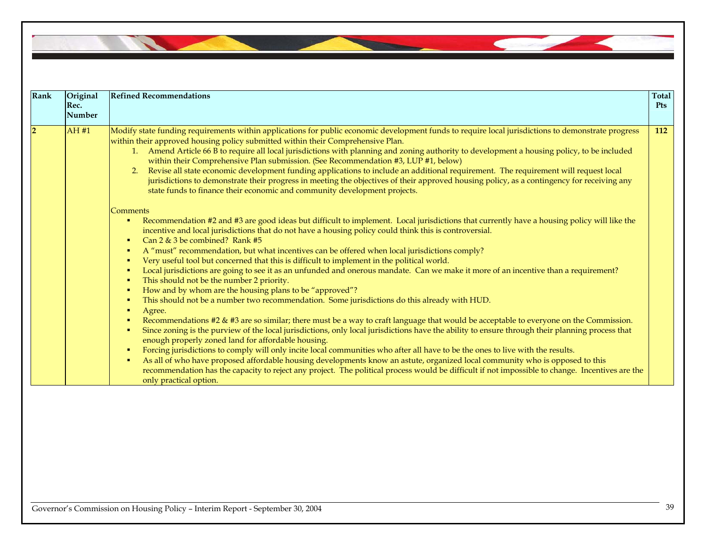| Rank | Original<br>Rec.<br>Number | <b>Refined Recommendations</b>                                                                                                                                                                                                                                                                                                                                                                                                                                                                                                                                                                                                                                                                                                                                                                                                                                                                                                                                                                                | <b>Total</b><br><b>Pts</b> |
|------|----------------------------|---------------------------------------------------------------------------------------------------------------------------------------------------------------------------------------------------------------------------------------------------------------------------------------------------------------------------------------------------------------------------------------------------------------------------------------------------------------------------------------------------------------------------------------------------------------------------------------------------------------------------------------------------------------------------------------------------------------------------------------------------------------------------------------------------------------------------------------------------------------------------------------------------------------------------------------------------------------------------------------------------------------|----------------------------|
|      | AH #1                      | Modify state funding requirements within applications for public economic development funds to require local jurisdictions to demonstrate progress<br>within their approved housing policy submitted within their Comprehensive Plan.<br>1. Amend Article 66 B to require all local jurisdictions with planning and zoning authority to development a housing policy, to be included<br>within their Comprehensive Plan submission. (See Recommendation #3, LUP #1, below)<br>Revise all state economic development funding applications to include an additional requirement. The requirement will request local<br>2.<br>jurisdictions to demonstrate their progress in meeting the objectives of their approved housing policy, as a contingency for receiving any<br>state funds to finance their economic and community development projects.<br><b>Comments</b>                                                                                                                                         | 112                        |
|      |                            | Recommendation #2 and #3 are good ideas but difficult to implement. Local jurisdictions that currently have a housing policy will like the<br>incentive and local jurisdictions that do not have a housing policy could think this is controversial.<br>Can 2 & 3 be combined? Rank #5<br>л<br>A "must" recommendation, but what incentives can be offered when local jurisdictions comply?<br>×<br>Very useful tool but concerned that this is difficult to implement in the political world.<br>×<br>Local jurisdictions are going to see it as an unfunded and onerous mandate. Can we make it more of an incentive than a requirement?<br>This should not be the number 2 priority.<br>How and by whom are the housing plans to be "approved"?<br>- 11<br>This should not be a number two recommendation. Some jurisdictions do this already with HUD.<br>Agree.<br>Recommendations #2 & #3 are so similar; there must be a way to craft language that would be acceptable to everyone on the Commission. |                            |
|      |                            | Since zoning is the purview of the local jurisdictions, only local jurisdictions have the ability to ensure through their planning process that<br>л<br>enough properly zoned land for affordable housing.<br>Forcing jurisdictions to comply will only incite local communities who after all have to be the ones to live with the results.<br>As all of who have proposed affordable housing developments know an astute, organized local community who is opposed to this<br>л<br>recommendation has the capacity to reject any project. The political process would be difficult if not impossible to change. Incentives are the<br>only practical option.                                                                                                                                                                                                                                                                                                                                                |                            |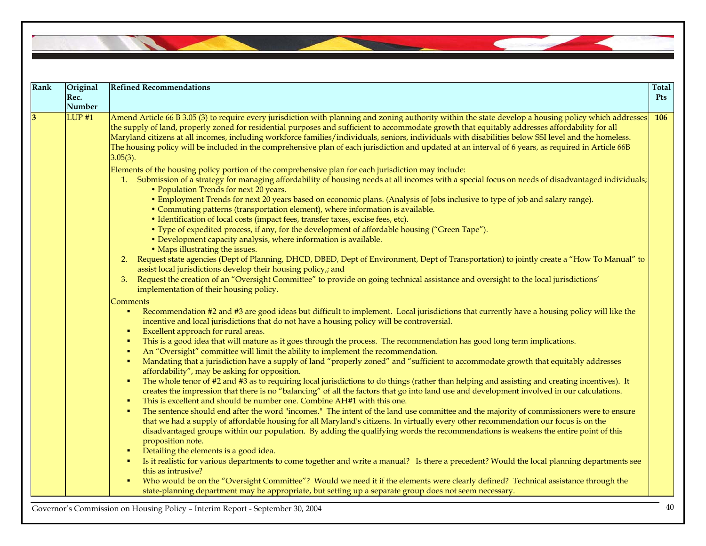| Rank | Original<br>Rec.<br><b>Number</b> | <b>Refined Recommendations</b>                                                                                                                                                                                                                                                                                                                                                                                                                                                                                                                                                                                                           | <b>Total</b><br><b>Pts</b> |
|------|-----------------------------------|------------------------------------------------------------------------------------------------------------------------------------------------------------------------------------------------------------------------------------------------------------------------------------------------------------------------------------------------------------------------------------------------------------------------------------------------------------------------------------------------------------------------------------------------------------------------------------------------------------------------------------------|----------------------------|
| 3    | $LUP$ #1                          | Amend Article 66 B 3.05 (3) to require every jurisdiction with planning and zoning authority within the state develop a housing policy which addresses<br>the supply of land, properly zoned for residential purposes and sufficient to accommodate growth that equitably addresses affordability for all<br>Maryland citizens at all incomes, including workforce families/individuals, seniors, individuals with disabilities below SSI level and the homeless.<br>The housing policy will be included in the comprehensive plan of each jurisdiction and updated at an interval of 6 years, as required in Article 66B<br>$3.05(3)$ . | <b>106</b>                 |
|      |                                   | Elements of the housing policy portion of the comprehensive plan for each jurisdiction may include:<br>1. Submission of a strategy for managing affordability of housing needs at all incomes with a special focus on needs of disadvantaged individuals;                                                                                                                                                                                                                                                                                                                                                                                |                            |
|      |                                   | • Population Trends for next 20 years.<br>• Employment Trends for next 20 years based on economic plans. (Analysis of Jobs inclusive to type of job and salary range).                                                                                                                                                                                                                                                                                                                                                                                                                                                                   |                            |
|      |                                   | • Commuting patterns (transportation element), where information is available.<br>• Identification of local costs (impact fees, transfer taxes, excise fees, etc).                                                                                                                                                                                                                                                                                                                                                                                                                                                                       |                            |
|      |                                   | • Type of expedited process, if any, for the development of affordable housing ("Green Tape").<br>• Development capacity analysis, where information is available.                                                                                                                                                                                                                                                                                                                                                                                                                                                                       |                            |
|      |                                   | • Maps illustrating the issues.<br>Request state agencies (Dept of Planning, DHCD, DBED, Dept of Environment, Dept of Transportation) to jointly create a "How To Manual" to<br>2.<br>assist local jurisdictions develop their housing policy,; and                                                                                                                                                                                                                                                                                                                                                                                      |                            |
|      |                                   | Request the creation of an "Oversight Committee" to provide on going technical assistance and oversight to the local jurisdictions'<br>3.<br>implementation of their housing policy.                                                                                                                                                                                                                                                                                                                                                                                                                                                     |                            |
|      |                                   | Comments<br>Recommendation #2 and #3 are good ideas but difficult to implement. Local jurisdictions that currently have a housing policy will like the<br>incentive and local jurisdictions that do not have a housing policy will be controversial.                                                                                                                                                                                                                                                                                                                                                                                     |                            |
|      |                                   | Excellent approach for rural areas.<br>٠<br>This is a good idea that will mature as it goes through the process. The recommendation has good long term implications.<br>An "Oversight" committee will limit the ability to implement the recommendation.                                                                                                                                                                                                                                                                                                                                                                                 |                            |
|      |                                   | Mandating that a jurisdiction have a supply of land "properly zoned" and "sufficient to accommodate growth that equitably addresses<br>affordability", may be asking for opposition.                                                                                                                                                                                                                                                                                                                                                                                                                                                     |                            |
|      |                                   | The whole tenor of #2 and #3 as to requiring local jurisdictions to do things (rather than helping and assisting and creating incentives). It<br>creates the impression that there is no "balancing" of all the factors that go into land use and development involved in our calculations.<br>This is excellent and should be number one. Combine AH#1 with this one.                                                                                                                                                                                                                                                                   |                            |
|      |                                   | The sentence should end after the word "incomes." The intent of the land use committee and the majority of commissioners were to ensure<br>that we had a supply of affordable housing for all Maryland's citizens. In virtually every other recommendation our focus is on the<br>disadvantaged groups within our population. By adding the qualifying words the recommendations is weakens the entire point of this<br>proposition note.                                                                                                                                                                                                |                            |
|      |                                   | Detailing the elements is a good idea.<br>Is it realistic for various departments to come together and write a manual? Is there a precedent? Would the local planning departments see<br>this as intrusive?                                                                                                                                                                                                                                                                                                                                                                                                                              |                            |
|      |                                   | Who would be on the "Oversight Committee"? Would we need it if the elements were clearly defined? Technical assistance through the<br>state-planning department may be appropriate, but setting up a separate group does not seem necessary.                                                                                                                                                                                                                                                                                                                                                                                             |                            |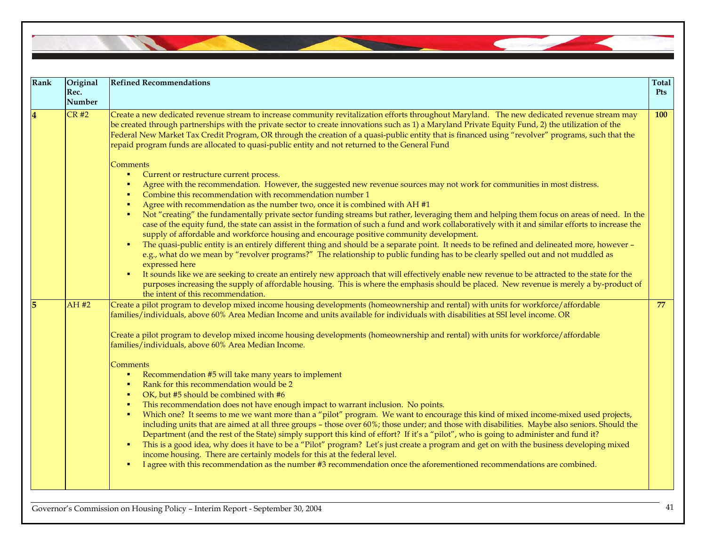Governor's Commission on Housing Policy – Interim Report - September 30, 2004 <sup>41</sup> **Rank Original Rec. NumberRefined Recommendations Total Pts** Create a new dedicated revenue stream to increase community revitalization efforts throughout Maryland. The new dedicated revenue stream may be created through partnerships with the private sector to create innovations such as 1) a Maryland Private Equity Fund, 2) the utilization of the Federal New Market Tax Credit Program, OR through the creation of a quasi-public entity that is financed using "revolver" programs, such that the repaid program funds are allocated to quasi-public entity and not returned to the General Fund **Comments**  $\mathbf{r}$  . Current or restructure current process.  $\blacksquare$ Agree with the recommendation. However, the suggested new revenue sources may not work for communities in most distress.  $\mathbf{r}$  Combine this recommendation with recommendation number 1  $\blacksquare$  Agree with recommendation as the number two, once it is combined with AH #1 Not "creating" the fundamentally private sector funding streams but rather, leveraging them and helping them focus on areas of need. In the case of the equity fund, the state can assist in the formation of such a fund and work collaboratively with it and similar efforts to increase the supply of affordable and workforce housing and encourage positive community development.  $\mathbf{H}^{\prime}$  The quasi-public entity is an entirely different thing and should be a separate point. It needs to be refined and delineated more, however – e.g., what do we mean by "revolver programs?" The relationship to public funding has to be clearly spelled out and not muddled as expressed here  $\blacksquare$  It sounds like we are seeking to create an entirely new approach that will effectively enable new revenue to be attracted to the state for the purposes increasing the supply of affordable housing. This is where the emphasis should be placed. New revenue is merely a by-product of the intent of this recommendation. **100 5** AH #2 Create a pilot program to develop mixed income housing developments (homeownership and rental) with units for workforce/affordable families/individuals, above 60% Area Median Income and units available for individuals with disabilities at SSI level income. OR Create a pilot program to develop mixed income housing developments (homeownership and rental) with units for workforce/affordable families/individuals, above 60% Area Median Income. **Comments**  $\mathbf{r}$  . Recommendation #5 will take many years to implement  $\mathbf{r}$  Rank for this recommendation would be 2  $\mathbf{r}$  OK, but #5 should be combined with #6  $\mathbf{r}$  This recommendation does not have enough impact to warrant inclusion. No points.  $\bullet$  . Which one? It seems to me we want more than a "pilot" program. We want to encourage this kind of mixed income-mixed used projects, including units that are aimed at all three groups – those over 60%; those under; and those with disabilities. Maybe also seniors. Should the Department (and the rest of the State) simply support this kind of effort? If it's a "pilot", who is going to administer and fund it?  $\blacksquare$  This is a good idea, why does it have to be a "Pilot" program? Let's just create a program and get on with the business developing mixed income housing. There are certainly models for this at the federal level.  $\blacksquare$  I agree with this recommendation as the number #3 recommendation once the aforementioned recommendations are combined. **77**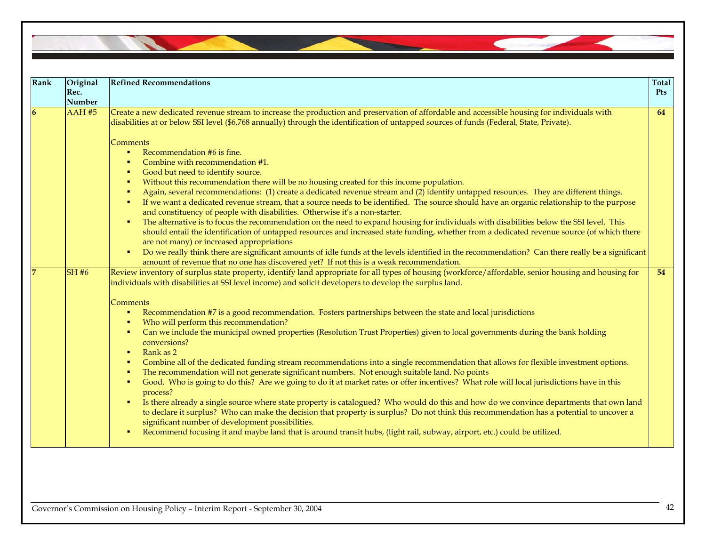| <b>Rank</b> | Original<br>Rec.<br>Number | <b>Refined Recommendations</b>                                                                                                                                                                                                                                                                                                                                                                                                                                                                                                                                                                                                                                                                                                                                                                                                                                                                                                                                                                                                                                                                                                                                                                                                                                                                                                                                                                                                                                                                                                                                                                                                  | <b>Total</b><br><b>Pts</b> |
|-------------|----------------------------|---------------------------------------------------------------------------------------------------------------------------------------------------------------------------------------------------------------------------------------------------------------------------------------------------------------------------------------------------------------------------------------------------------------------------------------------------------------------------------------------------------------------------------------------------------------------------------------------------------------------------------------------------------------------------------------------------------------------------------------------------------------------------------------------------------------------------------------------------------------------------------------------------------------------------------------------------------------------------------------------------------------------------------------------------------------------------------------------------------------------------------------------------------------------------------------------------------------------------------------------------------------------------------------------------------------------------------------------------------------------------------------------------------------------------------------------------------------------------------------------------------------------------------------------------------------------------------------------------------------------------------|----------------------------|
| <b>6</b>    | <b>AAH #5</b>              | Create a new dedicated revenue stream to increase the production and preservation of affordable and accessible housing for individuals with<br>disabilities at or below SSI level (\$6,768 annually) through the identification of untapped sources of funds (Federal, State, Private).                                                                                                                                                                                                                                                                                                                                                                                                                                                                                                                                                                                                                                                                                                                                                                                                                                                                                                                                                                                                                                                                                                                                                                                                                                                                                                                                         | 64                         |
|             |                            | Comments<br>Recommendation #6 is fine.<br>$\blacksquare$<br>Combine with recommendation #1.<br>$\blacksquare$<br>Good but need to identify source.<br>$\blacksquare$<br>Without this recommendation there will be no housing created for this income population.<br>$\blacksquare$<br>Again, several recommendations: (1) create a dedicated revenue stream and (2) identify untapped resources. They are different things.<br>٠<br>If we want a dedicated revenue stream, that a source needs to be identified. The source should have an organic relationship to the purpose<br>٠<br>and constituency of people with disabilities. Otherwise it's a non-starter.<br>The alternative is to focus the recommendation on the need to expand housing for individuals with disabilities below the SSI level. This<br>$\blacksquare$<br>should entail the identification of untapped resources and increased state funding, whether from a dedicated revenue source (of which there<br>are not many) or increased appropriations<br>Do we really think there are significant amounts of idle funds at the levels identified in the recommendation? Can there really be a significant<br>٠                                                                                                                                                                                                                                                                                                                                                                                                                                           |                            |
|             | <b>SH #6</b>               | amount of revenue that no one has discovered yet? If not this is a weak recommendation.<br>Review inventory of surplus state property, identify land appropriate for all types of housing (workforce/affordable, senior housing and housing for<br>individuals with disabilities at SSI level income) and solicit developers to develop the surplus land.<br>Comments<br>Recommendation #7 is a good recommendation. Fosters partnerships between the state and local jurisdictions<br>٠<br>Who will perform this recommendation?<br>٠<br>Can we include the municipal owned properties (Resolution Trust Properties) given to local governments during the bank holding<br>٠<br>conversions?<br>Rank as 2<br>$\blacksquare$<br>Combine all of the dedicated funding stream recommendations into a single recommendation that allows for flexible investment options.<br>٠<br>The recommendation will not generate significant numbers. Not enough suitable land. No points<br>٠<br>Good. Who is going to do this? Are we going to do it at market rates or offer incentives? What role will local jurisdictions have in this<br>٠<br>process?<br>Is there already a single source where state property is catalogued? Who would do this and how do we convince departments that own land<br>٠<br>to declare it surplus? Who can make the decision that property is surplus? Do not think this recommendation has a potential to uncover a<br>significant number of development possibilities.<br>Recommend focusing it and maybe land that is around transit hubs, (light rail, subway, airport, etc.) could be utilized.<br>٠ | 54                         |

**Charles Control**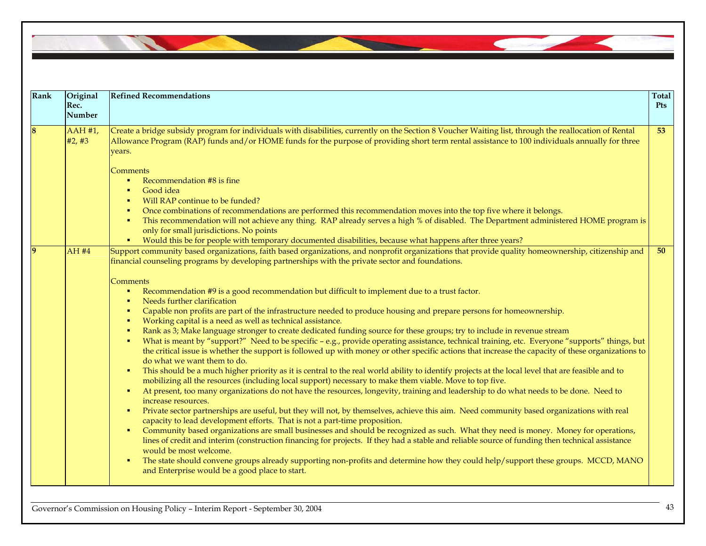

| Rank | Original<br>Rec.<br>Number | <b>Refined Recommendations</b>                                                                                                                                                                                                                                                                                                                                                                                                                                                                                                                                                                                                                                                                                                                                                                                                                                                                                                                                                                                                                                                                                                                                                                                                                                                                                                                                                                                                                                                                                                                                                                                                                                                                                                                                                                                                                                                                                                                                                                                                                                                                                                                                                                                                                                                      | Total<br>Pts    |
|------|----------------------------|-------------------------------------------------------------------------------------------------------------------------------------------------------------------------------------------------------------------------------------------------------------------------------------------------------------------------------------------------------------------------------------------------------------------------------------------------------------------------------------------------------------------------------------------------------------------------------------------------------------------------------------------------------------------------------------------------------------------------------------------------------------------------------------------------------------------------------------------------------------------------------------------------------------------------------------------------------------------------------------------------------------------------------------------------------------------------------------------------------------------------------------------------------------------------------------------------------------------------------------------------------------------------------------------------------------------------------------------------------------------------------------------------------------------------------------------------------------------------------------------------------------------------------------------------------------------------------------------------------------------------------------------------------------------------------------------------------------------------------------------------------------------------------------------------------------------------------------------------------------------------------------------------------------------------------------------------------------------------------------------------------------------------------------------------------------------------------------------------------------------------------------------------------------------------------------------------------------------------------------------------------------------------------------|-----------------|
|      | $AAH$ #1,<br>#2, #3        | Create a bridge subsidy program for individuals with disabilities, currently on the Section 8 Voucher Waiting list, through the reallocation of Rental<br>Allowance Program (RAP) funds and/or HOME funds for the purpose of providing short term rental assistance to 100 individuals annually for three<br>years.<br><b>Comments</b><br>Recommendation #8 is fine<br>Good idea<br>$\bullet$<br>Will RAP continue to be funded?<br>$\blacksquare$<br>Once combinations of recommendations are performed this recommendation moves into the top five where it belongs.<br>$\blacksquare$<br>This recommendation will not achieve any thing. RAP already serves a high % of disabled. The Department administered HOME program is<br>×<br>only for small jurisdictions. No points<br>Would this be for people with temporary documented disabilities, because what happens after three years?                                                                                                                                                                                                                                                                                                                                                                                                                                                                                                                                                                                                                                                                                                                                                                                                                                                                                                                                                                                                                                                                                                                                                                                                                                                                                                                                                                                        | 53              |
|      | AH #4                      | Support community based organizations, faith based organizations, and nonprofit organizations that provide quality homeownership, citizenship and<br>financial counseling programs by developing partnerships with the private sector and foundations.<br>Comments<br>Recommendation #9 is a good recommendation but difficult to implement due to a trust factor.<br>Needs further clarification<br>$\blacksquare$<br>Capable non profits are part of the infrastructure needed to produce housing and prepare persons for homeownership.<br>×<br>Working capital is a need as well as technical assistance.<br>×<br>Rank as 3; Make language stronger to create dedicated funding source for these groups; try to include in revenue stream<br>×<br>What is meant by "support?" Need to be specific - e.g., provide operating assistance, technical training, etc. Everyone "supports" things, but<br>×<br>the critical issue is whether the support is followed up with money or other specific actions that increase the capacity of these organizations to<br>do what we want them to do.<br>This should be a much higher priority as it is central to the real world ability to identify projects at the local level that are feasible and to<br>mobilizing all the resources (including local support) necessary to make them viable. Move to top five.<br>At present, too many organizations do not have the resources, longevity, training and leadership to do what needs to be done. Need to<br>×<br>increase resources.<br>Private sector partnerships are useful, but they will not, by themselves, achieve this aim. Need community based organizations with real<br>×<br>capacity to lead development efforts. That is not a part-time proposition.<br>Community based organizations are small businesses and should be recognized as such. What they need is money. Money for operations,<br>п.<br>lines of credit and interim (construction financing for projects. If they had a stable and reliable source of funding then technical assistance<br>would be most welcome.<br>The state should convene groups already supporting non-profits and determine how they could help/support these groups. MCCD, MANO<br>and Enterprise would be a good place to start. | 50 <sub>1</sub> |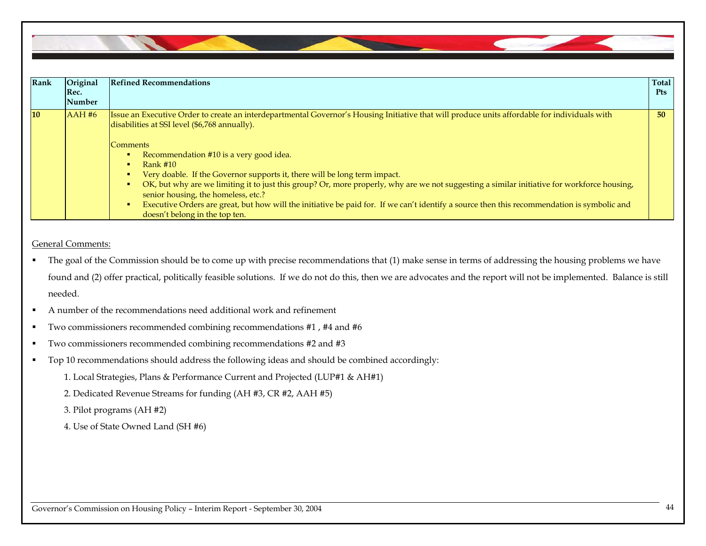

| <b>Rank</b> | Original<br>Rec.<br>Number | <b>Refined Recommendations</b>                                                                                                                                                                                                                                                                                                                                                                                                                                                                            | Total<br><b>Pts</b> |
|-------------|----------------------------|-----------------------------------------------------------------------------------------------------------------------------------------------------------------------------------------------------------------------------------------------------------------------------------------------------------------------------------------------------------------------------------------------------------------------------------------------------------------------------------------------------------|---------------------|
| <b>10</b>   | AAH#6                      | Issue an Executive Order to create an interdepartmental Governor's Housing Initiative that will produce units affordable for individuals with<br>disabilities at SSI level (\$6,768 annually).<br> Comments                                                                                                                                                                                                                                                                                               | 50                  |
|             |                            | Recommendation #10 is a very good idea.<br>Rank $#10$<br>Very doable. If the Governor supports it, there will be long term impact.<br>OK, but why are we limiting it to just this group? Or, more properly, why are we not suggesting a similar initiative for workforce housing,<br>senior housing, the homeless, etc.?<br>Executive Orders are great, but how will the initiative be paid for. If we can't identify a source then this recommendation is symbolic and<br>doesn't belong in the top ten. |                     |

General Comments:

- $\blacksquare$  The goal of the Commission should be to come up with precise recommendations that (1) make sense in terms of addressing the housing problems we have found and (2) offer practical, politically feasible solutions. If we do not do this, then we are advocates and the report will not be implemented. Balance is still needed.
- $\blacksquare$ A number of the recommendations need additional work and refinement
- $\blacksquare$ Two commissioners recommended combining recommendations #1 , #4 and #6
- $\blacksquare$ Two commissioners recommended combining recommendations #2 and #3
- $\blacksquare$  Top 10 recommendations should address the following ideas and should be combined accordingly:
	- 1. Local Strategies, Plans & Performance Current and Projected (LUP#1 & AH#1)
	- 2. Dedicated Revenue Streams for funding (AH #3, CR #2, AAH #5)
	- 3. Pilot programs (AH #2)
	- 4. Use of State Owned Land (SH #6)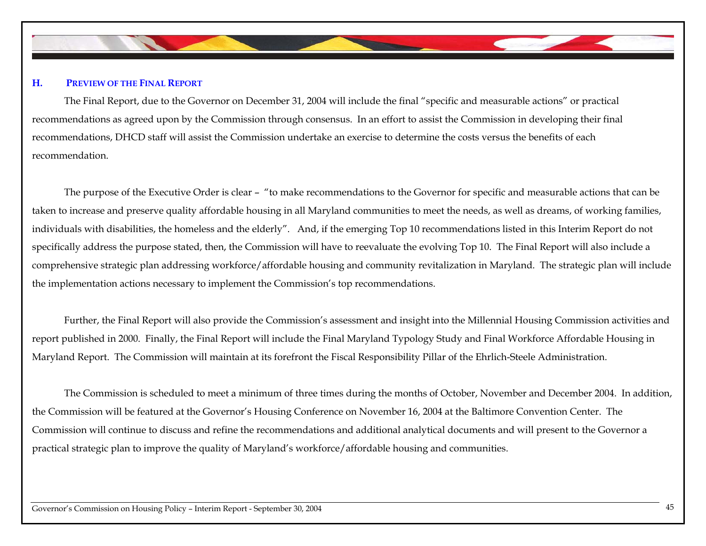

#### **H.PREVIEW OF THE FINAL REPORT**

 The Final Report, due to the Governor on December 31, 2004 will include the final "specific and measurable actions" or practical recommendations as agreed upon by the Commission through consensus. In an effort to assist the Commission in developing their final recommendations, DHCD staff will assist the Commission undertake an exercise to determine the costs versus the benefits of each recommendation.

The purpose of the Executive Order is clear – "to make recommendations to the Governor for specific and measurable actions that can be taken to increase and preserve quality affordable housing in all Maryland communities to meet the needs, as well as dreams, of working families, individuals with disabilities, the homeless and the elderly". And, if the emerging Top 10 recommendations listed in this Interim Report do not specifically address the purpose stated, then, the Commission will have to reevaluate the evolving Top 10. The Final Report will also include a comprehensive strategic plan addressing workforce/affordable housing and community revitalization in Maryland. The strategic plan will include the implementation actions necessary to implement the Commission's top recommendations.

Further, the Final Report will also provide the Commission's assessment and insight into the Millennial Housing Commission activities and report published in 2000. Finally, the Final Report will include the Final Maryland Typology Study and Final Workforce Affordable Housing in Maryland Report. The Commission will maintain at its forefront the Fiscal Responsibility Pillar of the Ehrlich-Steele Administration.

The Commission is scheduled to meet a minimum of three times during the months of October, November and December 2004. In addition, the Commission will be featured at the Governor's Housing Conference on November 16, 2004 at the Baltimore Convention Center. The Commission will continue to discuss and refine the recommendations and additional analytical documents and will present to the Governor a practical strategic plan to improve the quality of Maryland's workforce/affordable housing and communities.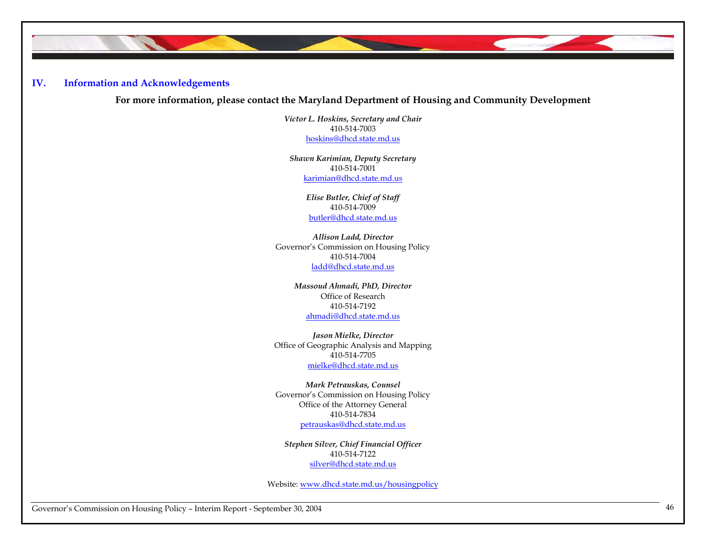## **IV. Information and Acknowledgements**

**For more information, please contact the Maryland Department of Housing and Community Development** 

*Victor L. Hoskins, Secretary and Chair*  410-514-7003 hoskins@dhcd.state.md.us

*Shawn Karimian, Deputy Secretary*  410-514-7001 karimian@dhcd.state.md.us

> *Elise Butler, Chief of Staff*  410-514-7009 butler@dhcd.state.md.us

*Allison Ladd, Director*  Governor's Commission on Housing Policy 410-514-7004 ladd@dhcd.state.md.us

> *Massoud Ahmadi, PhD, Director*  Office of Research 410-514-7192 ahmadi@dhcd.state.md.us

*Jason Mielke, Director*  Office of Geographic Analysis and Mapping 410-514-7705 mielke@dhcd.state.md.us

*Mark Petrauskas, Counsel*  Governor's Commission on Housing Policy Office of the Attorney General 410-514-7834 petrauskas@dhcd.state.md.us

*Stephen Silver, Chief Financial Officer*  410-514-7122 silver@dhcd.state.md.us

Website: www.dhcd.state.md.us/housingpolicy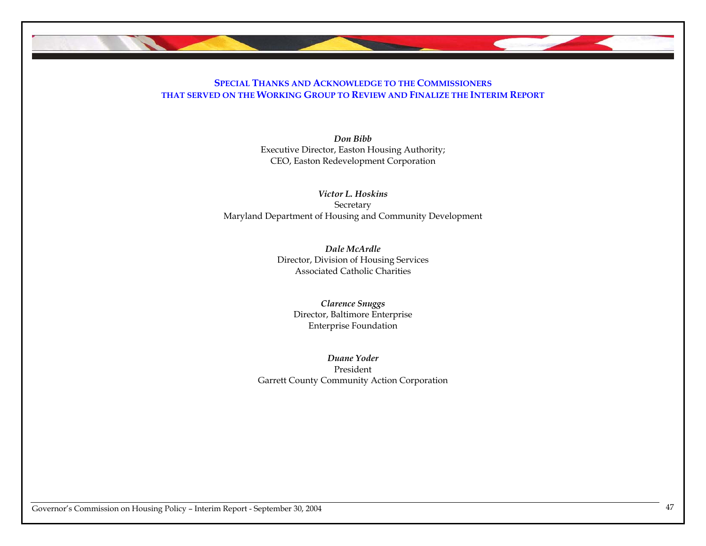

## **SPECIAL THANKS AND ACKNOWLEDGE TO THE COMMISSIONERSTHAT SERVED ON THE WORKING GROUP TO REVIEW AND FINALIZE THE INTERIM REPORT**

*Don Bibb* Executive Director, Easton Housing Authority; CEO, Easton Redevelopment Corporation

*Victor L. Hoskins* Secretary Maryland Department of Housing and Community Development

> *Dale McArdle* Director, Division of Housing Services Associated Catholic Charities

*Clarence Snuggs*  Director, Baltimore Enterprise Enterprise Foundation

*Duane Yoder* President Garrett County Community Action Corporation

Governor's Commission on Housing Policy – Interim Report - September 30, 2004 <sup>47</sup>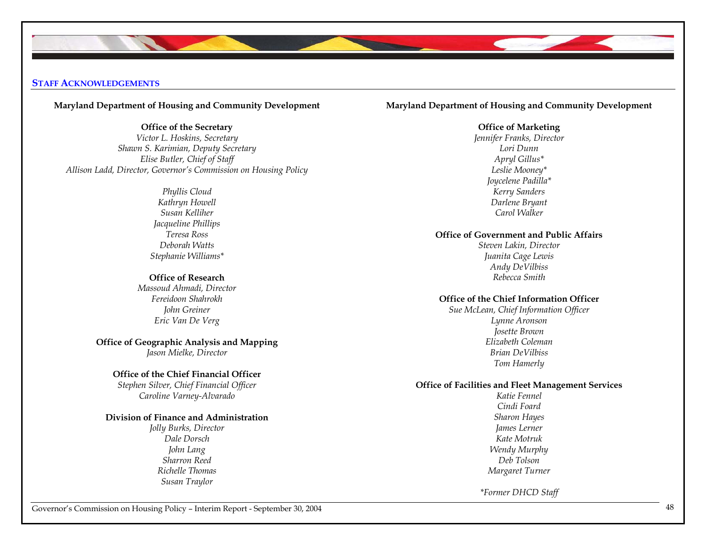### **STAFF ACKNOWLEDGEMENTS**

### **Maryland Department of Housing and Community Development**

**Office of the Secretary** 

*Victor L. Hoskins, Secretary Shawn S. Karimian, Deputy Secretary Elise Butler, Chief of Staff Allison Ladd, Director, Governor's Commission on Housing Policy* 

> *Phyllis Cloud Kathryn Howell Susan Kelliher Jacqueline Phillips Teresa Ross Deborah Watts Stephanie Williams\**

### **Office of Research**

*Massoud Ahmadi, Director Fereidoon Shahrokh John Greiner Eric Van De Verg* 

**Office of Geographic Analysis and Mapping**  *Jason Mielke, Director* 

### **Office of the Chief Financial Officer**

*Stephen Silver, Chief Financial Officer Caroline Varney-Alvarado* 

### **Division of Finance and Administration**

*Jolly Burks, Director Dale Dorsch John Lang Sharron Reed Richelle Thomas Susan Traylor* 

### **Maryland Department of Housing and Community Development**

### **Office of Marketing**

*Jennifer Franks, Director Lori Dunn Apryl Gillus\* Leslie Mooney\* Joycelene Padilla\* Kerry Sanders Darlene Bryant Carol Walker* 

### **Office of Government and Public Affairs**

*Steven Lakin, Director Juanita Cage Lewis Andy DeVilbiss Rebecca Smith* 

### **Office of the Chief Information Officer**

*Sue McLean, Chief Information Officer Lynne Aronson Josette Brown Elizabeth Coleman Brian DeVilbiss Tom Hamerly* 

## **Office of Facilities and Fleet Management Services**

*Katie Fennel Cindi Foard Sharon Hayes James Lerner Kate Motruk Wendy Murphy Deb Tolson Margaret Turner* 

*\*Former DHCD Staff*

Governor's Commission on Housing Policy – Interim Report - September 30, 2004 <sup>48</sup>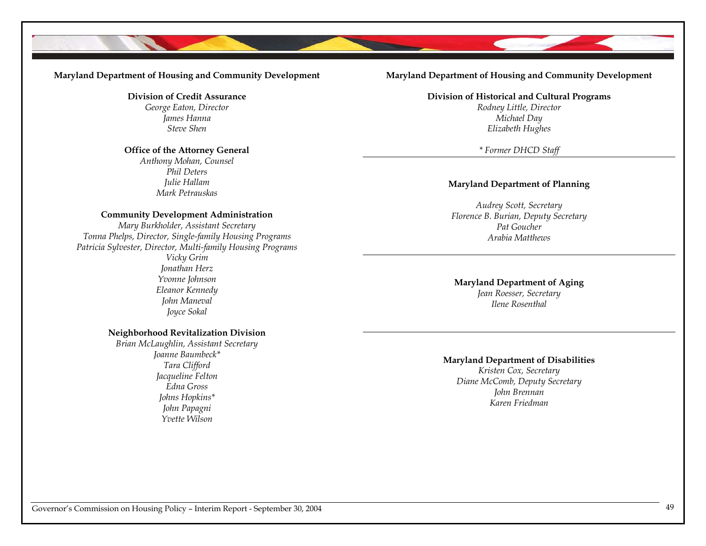### **Maryland Department of Housing and Community Development**

**Division of Credit Assurance**  *George Eaton, Director James Hanna Steve Shen* 

### **Office of the Attorney General**

*Anthony Mohan, Counsel Phil Deters Julie Hallam Mark Petrauskas* 

### **Community Development Administration**

*Mary Burkholder, Assistant Secretary Tonna Phelps, Director, Single-family Housing Programs Patricia Sylvester, Director, Multi-family Housing Programs Vicky Grim Jonathan Herz Yvonne Johnson Eleanor Kennedy John Maneval Joyce Sokal* 

### **Neighborhood Revitalization Division**

*Brian McLaughlin, Assistant Secretary Joanne Baumbeck\* Tara Clifford Jacqueline Felton Edna Gross Johns Hopkins\* John Papagni Yvette Wilson* 

### **Maryland Department of Housing and Community Development**

**Division of Historical and Cultural Programs** 

*Rodney Little, Director Michael Day Elizabeth Hughes* 

*\* Former DHCD Staff*

### **Maryland Department of Planning**

*Audrey Scott, Secretary Florence B. Burian, Deputy Secretary Pat Goucher Arabia Matthews* 

## **Maryland Department of Aging**

*Jean Roesser, Secretary Ilene Rosenthal* 

### **Maryland Department of Disabilities**

*Kristen Cox, Secretary Diane McComb, Deputy Secretary John Brennan Karen Friedman*